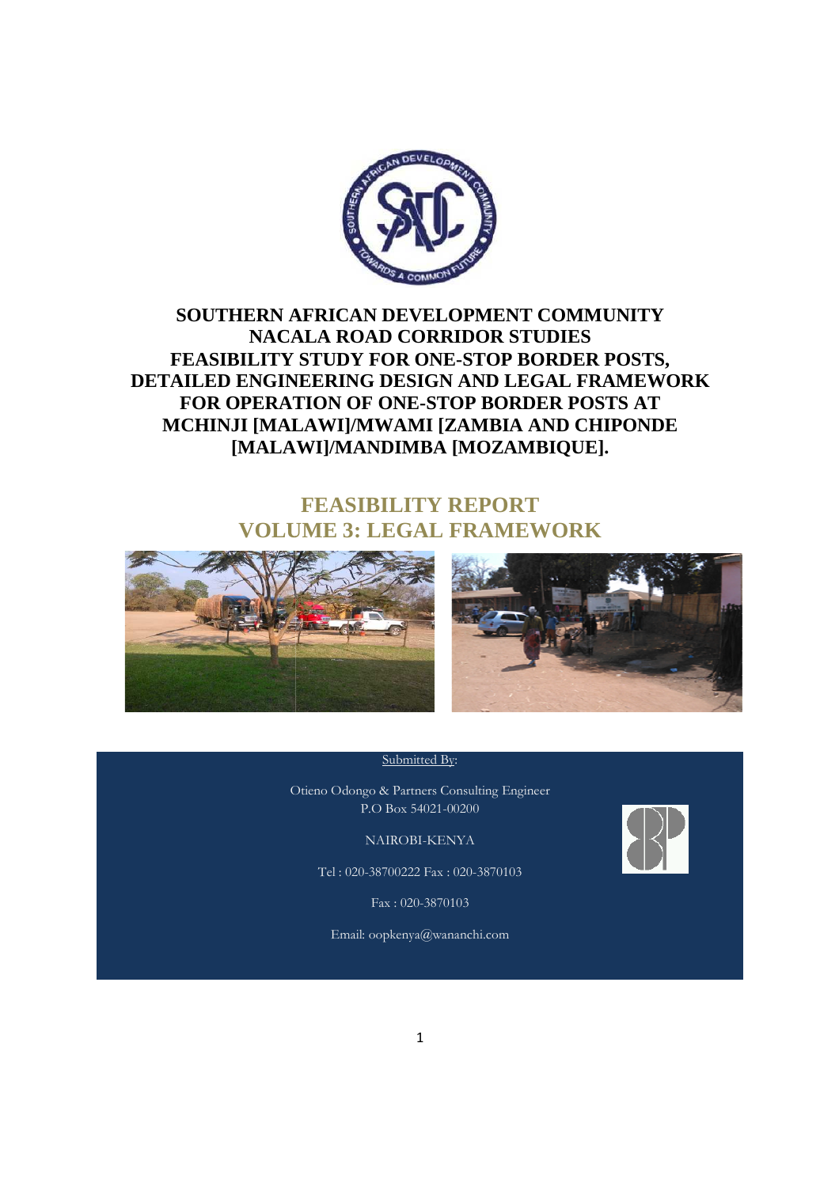

# **SOUTHERN AFRICAN DEVELOPMENT COMMUNITY NACALA ROAD CORRIDOR STUDIES FEASIBILITY STUDY FOR ONE ONE-STOP BORDER POSTS, DETAILED ENGINEERING DESIGN AND LEGAL FRAMEWORK 'EASIBILITY STUDY FOR ONE-STOP BORDER POSTS<br>ILED ENGINEERING DESIGN AND LEGAL FRAMEW<br>FOR OPERATION OF ONE-STOP BORDER POSTS AT MCHINJI [MALAWI]/MWAMI [ZAMBIA AND CHIPONDE [MALAWI]/MANDIMBA [MOZAMBIQUE].**

# **VOLUME 3: LEGAL FRAMEWORK : FEASIBILITY REPORT**





#### Submitted By:

Otieno Odongo & Partners Consulting Enginee Engineer P.O Box 54021-00200

NAIROBI-KENYA

Tel : 020-38700222 Fax : 020-3870103

Fax : 020-3870103

Email: oopkenya@wananchi.com

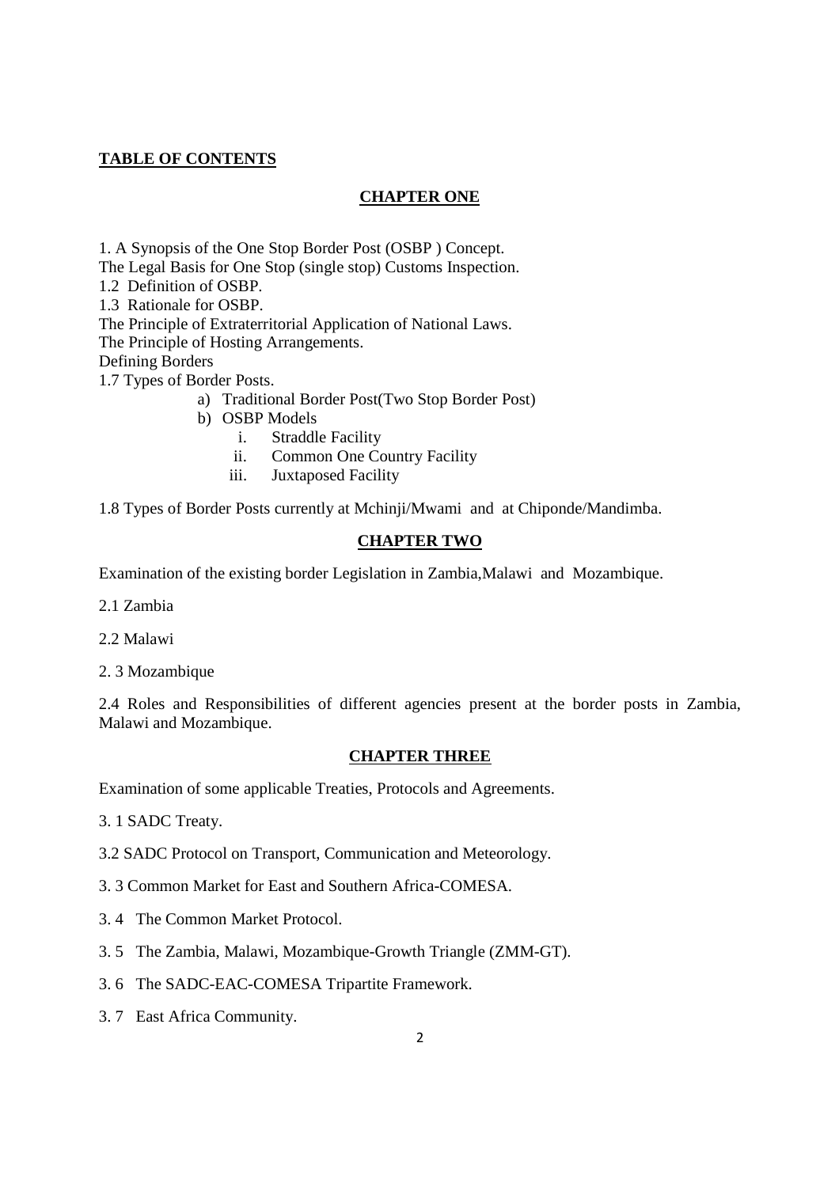# **TABLE OF CONTENTS**

### **CHAPTER ONE**

1. A Synopsis of the One Stop Border Post (OSBP ) Concept.

The Legal Basis for One Stop (single stop) Customs Inspection.

1.2 Definition of OSBP.

1.3 Rationale for OSBP.

The Principle of Extraterritorial Application of National Laws.

The Principle of Hosting Arrangements.

Defining Borders

1.7 Types of Border Posts.

- a) Traditional Border Post(Two Stop Border Post)
- b) OSBP Models
	- i. Straddle Facility
	- ii. Common One Country Facility
	- iii. Juxtaposed Facility

1.8 Types of Border Posts currently at Mchinji/Mwami and at Chiponde/Mandimba.

### **CHAPTER TWO**

Examination of the existing border Legislation in Zambia,Malawi and Mozambique.

2.1 Zambia

2.2 Malawi

2. 3 Mozambique

2.4 Roles and Responsibilities of different agencies present at the border posts in Zambia, Malawi and Mozambique.

#### **CHAPTER THREE**

Examination of some applicable Treaties, Protocols and Agreements.

3. 1 SADC Treaty.

3.2 SADC Protocol on Transport, Communication and Meteorology.

- 3. 3 Common Market for East and Southern Africa-COMESA.
- 3. 4The Common Market Protocol.
- 3. 5 The Zambia, Malawi, Mozambique-Growth Triangle (ZMM-GT).
- 3. 6The SADC-EAC-COMESA Tripartite Framework.
- 3. 7East Africa Community.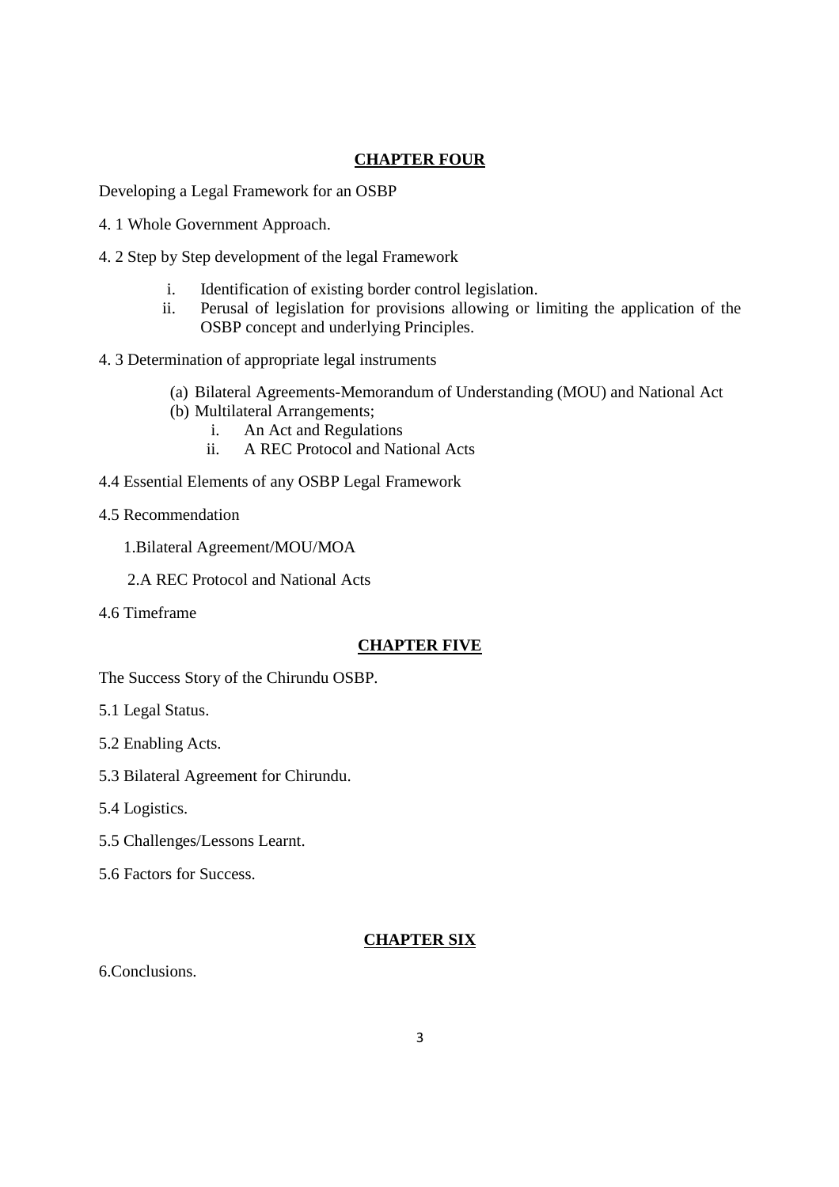# **CHAPTER FOUR**

Developing a Legal Framework for an OSBP

- 4. 1 Whole Government Approach.
- 4. 2 Step by Step development of the legal Framework
	- i. Identification of existing border control legislation.
	- ii. Perusal of legislation for provisions allowing or limiting the application of the OSBP concept and underlying Principles.
- 4. 3 Determination of appropriate legal instruments
	- (a) Bilateral Agreements-Memorandum of Understanding (MOU) and National Act
	- (b) Multilateral Arrangements;
		- i. An Act and Regulations
		- ii. A REC Protocol and National Acts
- 4.4 Essential Elements of any OSBP Legal Framework
- 4.5 Recommendation

1.Bilateral Agreement/MOU/MOA

- 2.A REC Protocol and National Acts
- 4.6 Timeframe

### **CHAPTER FIVE**

The Success Story of the Chirundu OSBP.

- 5.1 Legal Status.
- 5.2 Enabling Acts.
- 5.3 Bilateral Agreement for Chirundu.
- 5.4 Logistics.
- 5.5 Challenges/Lessons Learnt.
- 5.6 Factors for Success.

### **CHAPTER SIX**

6.Conclusions.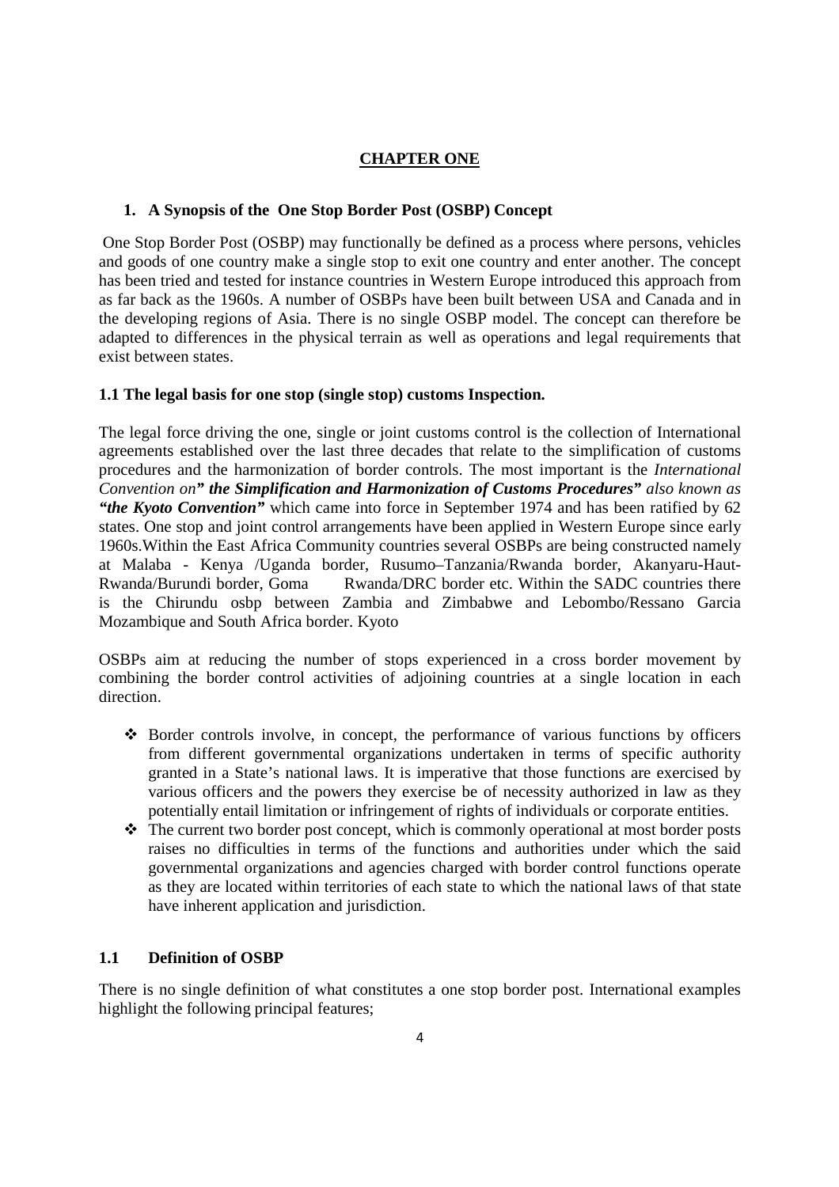# **CHAPTER ONE**

## **1. A Synopsis of the One Stop Border Post (OSBP) Concept**

 One Stop Border Post (OSBP) may functionally be defined as a process where persons, vehicles and goods of one country make a single stop to exit one country and enter another. The concept has been tried and tested for instance countries in Western Europe introduced this approach from as far back as the 1960s. A number of OSBPs have been built between USA and Canada and in the developing regions of Asia. There is no single OSBP model. The concept can therefore be adapted to differences in the physical terrain as well as operations and legal requirements that exist between states.

### **1.1 The legal basis for one stop (single stop) customs Inspection.**

The legal force driving the one, single or joint customs control is the collection of International agreements established over the last three decades that relate to the simplification of customs procedures and the harmonization of border controls. The most important is the *International Convention on" the Simplification and Harmonization of Customs Procedures" also known as "the Kyoto Convention"* which came into force in September 1974 and has been ratified by 62 states. One stop and joint control arrangements have been applied in Western Europe since early 1960s.Within the East Africa Community countries several OSBPs are being constructed namely at Malaba - Kenya /Uganda border, Rusumo–Tanzania/Rwanda border, Akanyaru-Haut-Rwanda/Burundi border, Goma Rwanda/DRC border etc. Within the SADC countries there is the Chirundu osbp between Zambia and Zimbabwe and Lebombo/Ressano Garcia Mozambique and South Africa border. Kyoto

OSBPs aim at reducing the number of stops experienced in a cross border movement by combining the border control activities of adjoining countries at a single location in each direction.

- $\triangle$  Border controls involve, in concept, the performance of various functions by officers from different governmental organizations undertaken in terms of specific authority granted in a State's national laws. It is imperative that those functions are exercised by various officers and the powers they exercise be of necessity authorized in law as they potentially entail limitation or infringement of rights of individuals or corporate entities.
- $\triangle$  The current two border post concept, which is commonly operational at most border posts raises no difficulties in terms of the functions and authorities under which the said governmental organizations and agencies charged with border control functions operate as they are located within territories of each state to which the national laws of that state have inherent application and jurisdiction.

### **1.1 Definition of OSBP**

There is no single definition of what constitutes a one stop border post. International examples highlight the following principal features;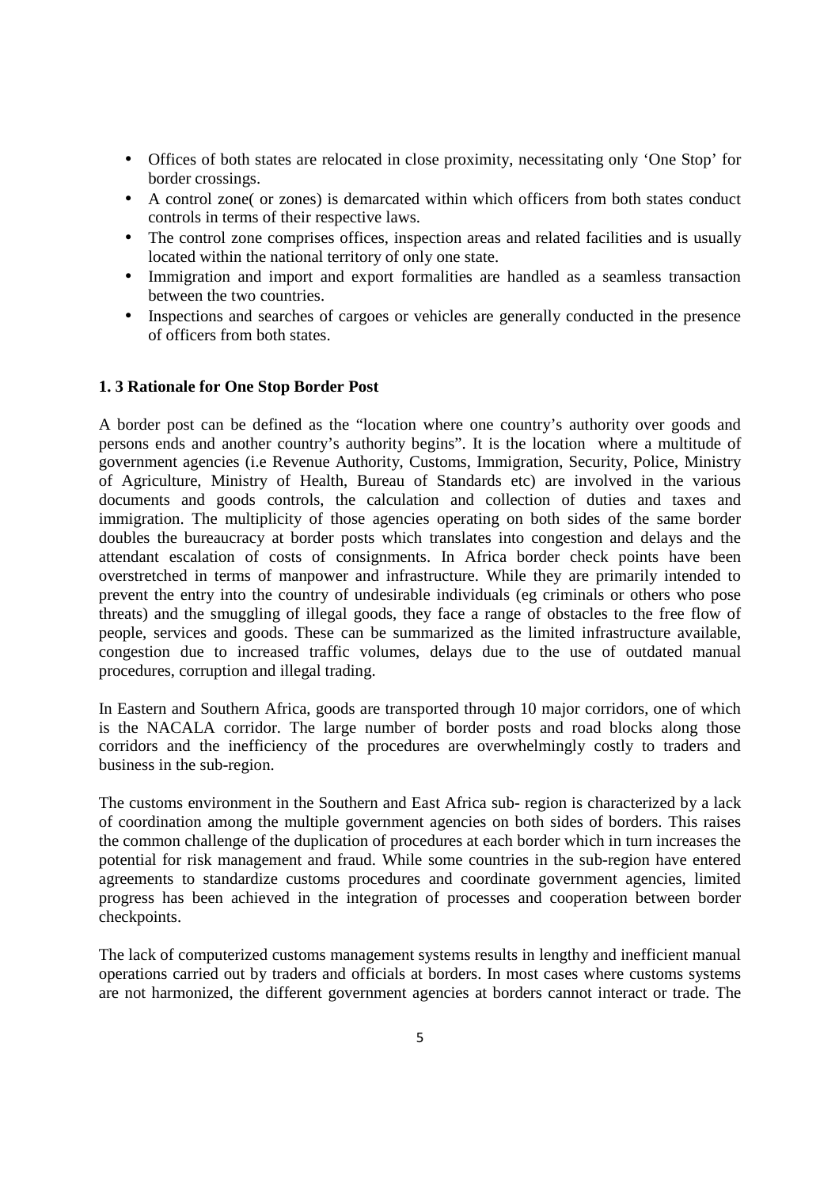- Offices of both states are relocated in close proximity, necessitating only 'One Stop' for border crossings.
- A control zone (or zones) is demarcated within which officers from both states conduct controls in terms of their respective laws.
- The control zone comprises offices, inspection areas and related facilities and is usually located within the national territory of only one state.
- Immigration and import and export formalities are handled as a seamless transaction between the two countries.
- Inspections and searches of cargoes or vehicles are generally conducted in the presence of officers from both states.

#### **1. 3 Rationale for One Stop Border Post**

A border post can be defined as the "location where one country's authority over goods and persons ends and another country's authority begins". It is the location where a multitude of government agencies (i.e Revenue Authority, Customs, Immigration, Security, Police, Ministry of Agriculture, Ministry of Health, Bureau of Standards etc) are involved in the various documents and goods controls, the calculation and collection of duties and taxes and immigration. The multiplicity of those agencies operating on both sides of the same border doubles the bureaucracy at border posts which translates into congestion and delays and the attendant escalation of costs of consignments. In Africa border check points have been overstretched in terms of manpower and infrastructure. While they are primarily intended to prevent the entry into the country of undesirable individuals (eg criminals or others who pose threats) and the smuggling of illegal goods, they face a range of obstacles to the free flow of people, services and goods. These can be summarized as the limited infrastructure available, congestion due to increased traffic volumes, delays due to the use of outdated manual procedures, corruption and illegal trading.

In Eastern and Southern Africa, goods are transported through 10 major corridors, one of which is the NACALA corridor. The large number of border posts and road blocks along those corridors and the inefficiency of the procedures are overwhelmingly costly to traders and business in the sub-region.

The customs environment in the Southern and East Africa sub- region is characterized by a lack of coordination among the multiple government agencies on both sides of borders. This raises the common challenge of the duplication of procedures at each border which in turn increases the potential for risk management and fraud. While some countries in the sub-region have entered agreements to standardize customs procedures and coordinate government agencies, limited progress has been achieved in the integration of processes and cooperation between border checkpoints.

The lack of computerized customs management systems results in lengthy and inefficient manual operations carried out by traders and officials at borders. In most cases where customs systems are not harmonized, the different government agencies at borders cannot interact or trade. The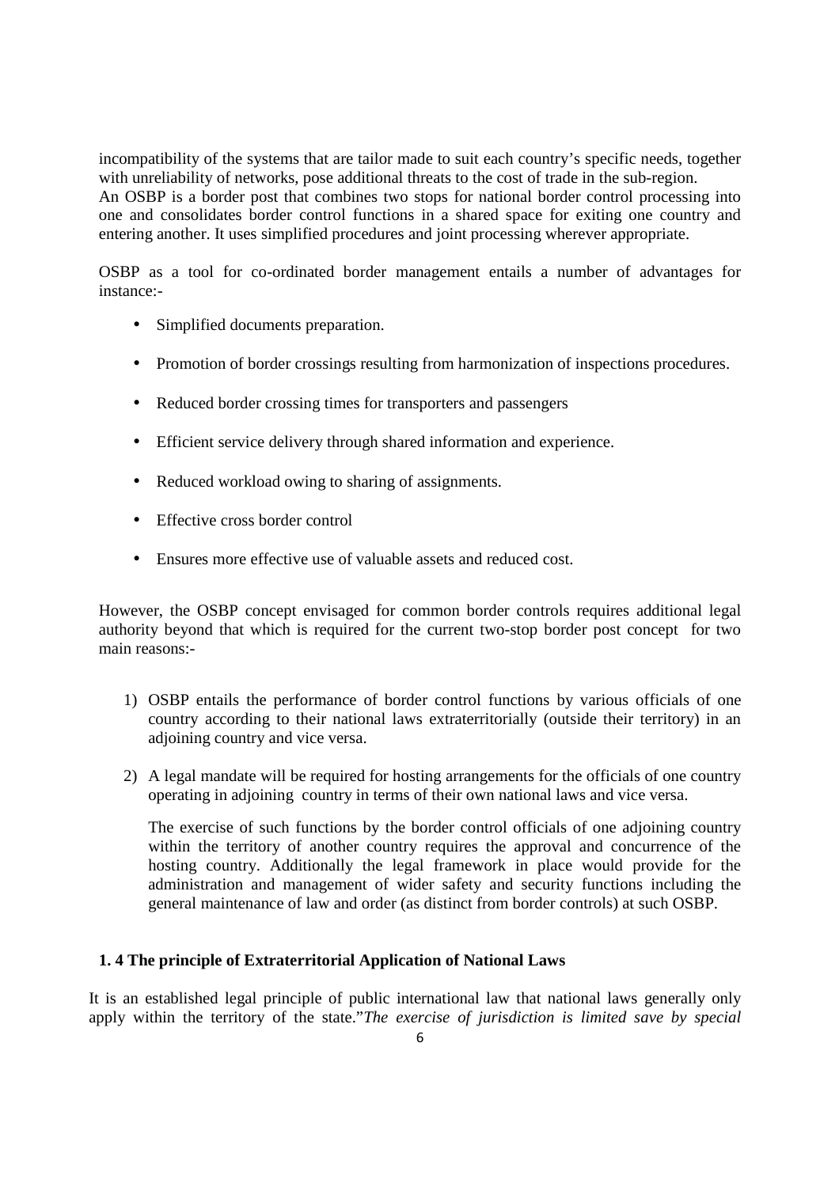incompatibility of the systems that are tailor made to suit each country's specific needs, together with unreliability of networks, pose additional threats to the cost of trade in the sub-region. An OSBP is a border post that combines two stops for national border control processing into one and consolidates border control functions in a shared space for exiting one country and entering another. It uses simplified procedures and joint processing wherever appropriate.

OSBP as a tool for co-ordinated border management entails a number of advantages for instance:-

- Simplified documents preparation.
- Promotion of border crossings resulting from harmonization of inspections procedures.
- Reduced border crossing times for transporters and passengers
- Efficient service delivery through shared information and experience.
- Reduced workload owing to sharing of assignments.
- Effective cross border control
- Ensures more effective use of valuable assets and reduced cost.

However, the OSBP concept envisaged for common border controls requires additional legal authority beyond that which is required for the current two-stop border post concept for two main reasons:-

- 1) OSBP entails the performance of border control functions by various officials of one country according to their national laws extraterritorially (outside their territory) in an adjoining country and vice versa.
- 2) A legal mandate will be required for hosting arrangements for the officials of one country operating in adjoining country in terms of their own national laws and vice versa.

The exercise of such functions by the border control officials of one adjoining country within the territory of another country requires the approval and concurrence of the hosting country. Additionally the legal framework in place would provide for the administration and management of wider safety and security functions including the general maintenance of law and order (as distinct from border controls) at such OSBP.

#### **1. 4 The principle of Extraterritorial Application of National Laws**

It is an established legal principle of public international law that national laws generally only apply within the territory of the state."*The exercise of jurisdiction is limited save by special*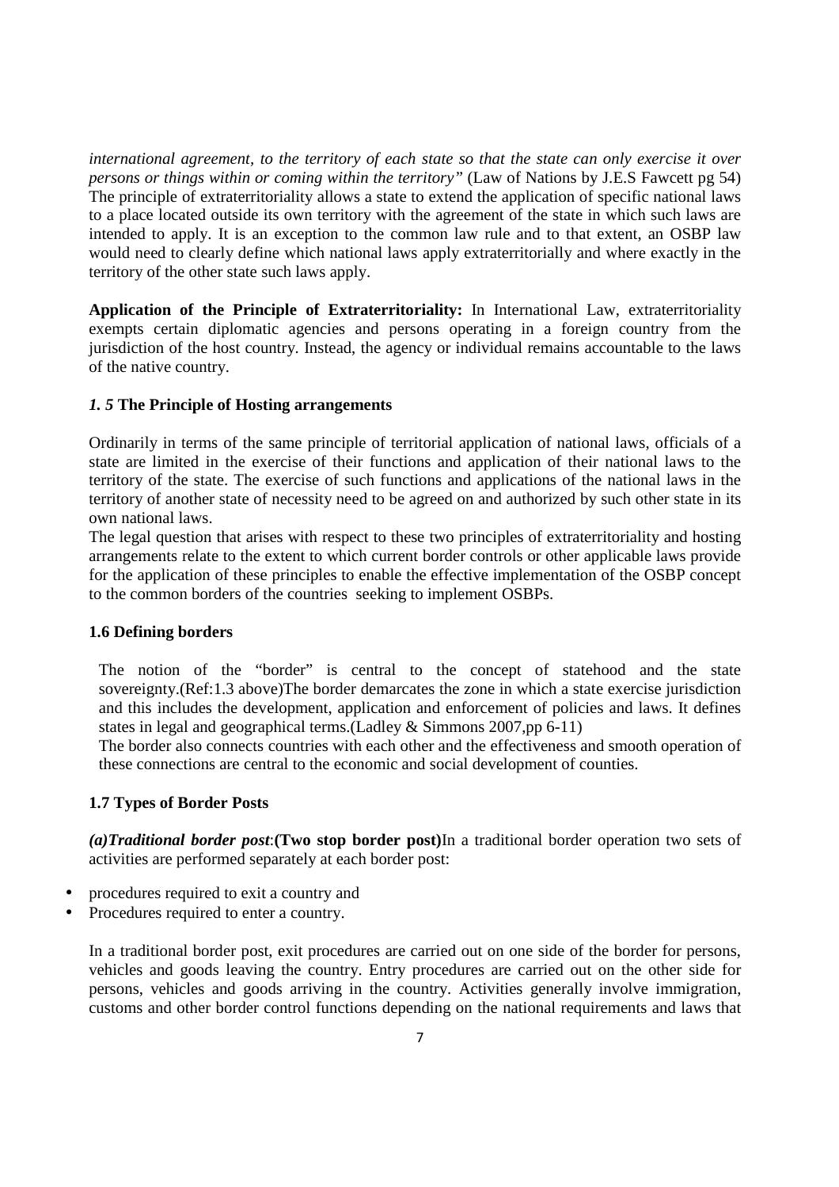*international agreement, to the territory of each state so that the state can only exercise it over persons or things within or coming within the territory"* (Law of Nations by J.E.S Fawcett pg 54) The principle of extraterritoriality allows a state to extend the application of specific national laws to a place located outside its own territory with the agreement of the state in which such laws are intended to apply. It is an exception to the common law rule and to that extent, an OSBP law would need to clearly define which national laws apply extraterritorially and where exactly in the territory of the other state such laws apply.

**Application of the Principle of Extraterritoriality:** In International Law, extraterritoriality exempts certain diplomatic agencies and persons operating in a foreign country from the jurisdiction of the host country. Instead, the agency or individual remains accountable to the laws of the native country.

### *1. 5* **The Principle of Hosting arrangements**

Ordinarily in terms of the same principle of territorial application of national laws, officials of a state are limited in the exercise of their functions and application of their national laws to the territory of the state. The exercise of such functions and applications of the national laws in the territory of another state of necessity need to be agreed on and authorized by such other state in its own national laws.

The legal question that arises with respect to these two principles of extraterritoriality and hosting arrangements relate to the extent to which current border controls or other applicable laws provide for the application of these principles to enable the effective implementation of the OSBP concept to the common borders of the countries seeking to implement OSBPs.

#### **1.6 Defining borders**

The notion of the "border" is central to the concept of statehood and the state sovereignty.(Ref:1.3 above)The border demarcates the zone in which a state exercise jurisdiction and this includes the development, application and enforcement of policies and laws. It defines states in legal and geographical terms.(Ladley & Simmons 2007,pp 6-11)

The border also connects countries with each other and the effectiveness and smooth operation of these connections are central to the economic and social development of counties.

#### **1.7 Types of Border Posts**

*(a)Traditional border post*:**(Two stop border post)**In a traditional border operation two sets of activities are performed separately at each border post:

- procedures required to exit a country and
- Procedures required to enter a country.

In a traditional border post, exit procedures are carried out on one side of the border for persons, vehicles and goods leaving the country. Entry procedures are carried out on the other side for persons, vehicles and goods arriving in the country. Activities generally involve immigration, customs and other border control functions depending on the national requirements and laws that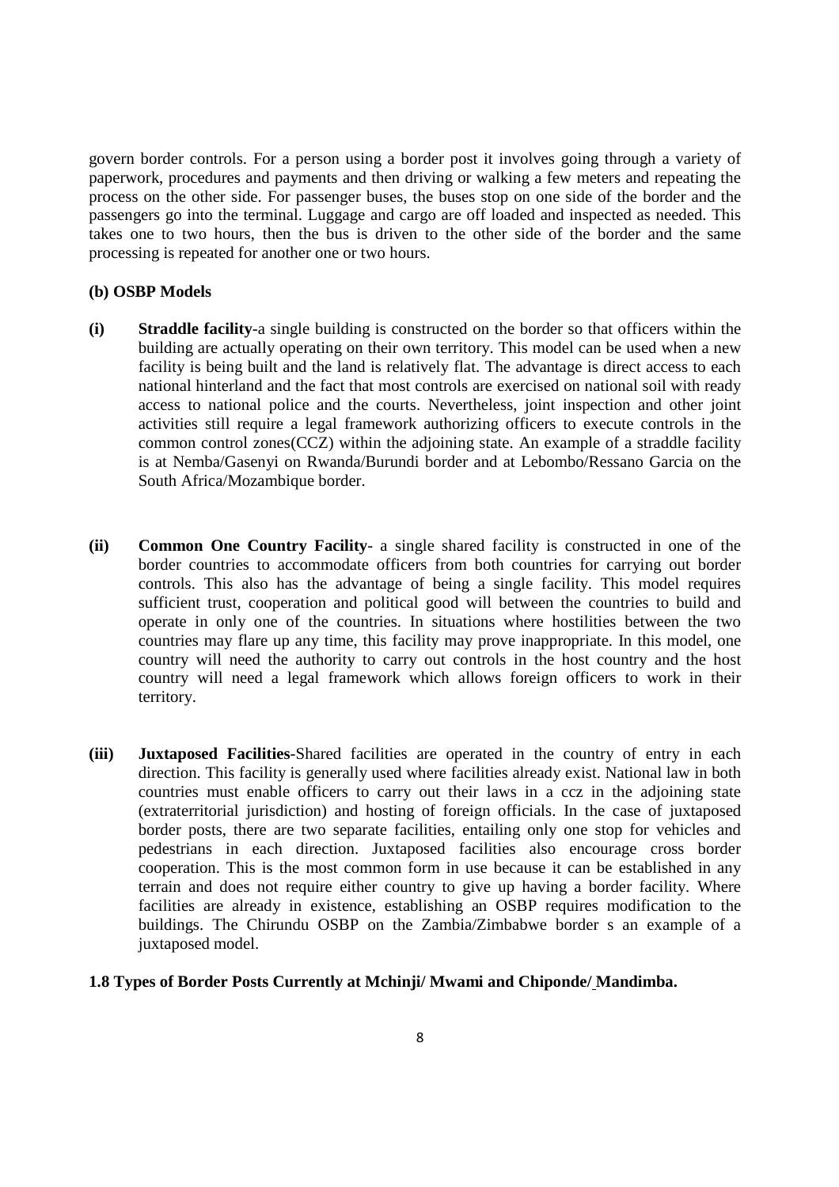govern border controls. For a person using a border post it involves going through a variety of paperwork, procedures and payments and then driving or walking a few meters and repeating the process on the other side. For passenger buses, the buses stop on one side of the border and the passengers go into the terminal. Luggage and cargo are off loaded and inspected as needed. This takes one to two hours, then the bus is driven to the other side of the border and the same processing is repeated for another one or two hours.

#### **(b) OSBP Models**

- **(i) Straddle facility**-a single building is constructed on the border so that officers within the building are actually operating on their own territory. This model can be used when a new facility is being built and the land is relatively flat. The advantage is direct access to each national hinterland and the fact that most controls are exercised on national soil with ready access to national police and the courts. Nevertheless, joint inspection and other joint activities still require a legal framework authorizing officers to execute controls in the common control zones(CCZ) within the adjoining state. An example of a straddle facility is at Nemba/Gasenyi on Rwanda/Burundi border and at Lebombo/Ressano Garcia on the South Africa/Mozambique border.
- **(ii) Common One Country Facility** a single shared facility is constructed in one of the border countries to accommodate officers from both countries for carrying out border controls. This also has the advantage of being a single facility. This model requires sufficient trust, cooperation and political good will between the countries to build and operate in only one of the countries. In situations where hostilities between the two countries may flare up any time, this facility may prove inappropriate. In this model, one country will need the authority to carry out controls in the host country and the host country will need a legal framework which allows foreign officers to work in their territory.
- **(iii) Juxtaposed Facilities**-Shared facilities are operated in the country of entry in each direction. This facility is generally used where facilities already exist. National law in both countries must enable officers to carry out their laws in a ccz in the adjoining state (extraterritorial jurisdiction) and hosting of foreign officials. In the case of juxtaposed border posts, there are two separate facilities, entailing only one stop for vehicles and pedestrians in each direction. Juxtaposed facilities also encourage cross border cooperation. This is the most common form in use because it can be established in any terrain and does not require either country to give up having a border facility. Where facilities are already in existence, establishing an OSBP requires modification to the buildings. The Chirundu OSBP on the Zambia/Zimbabwe border s an example of a juxtaposed model.

#### **1.8 Types of Border Posts Currently at Mchinji/ Mwami and Chiponde/ Mandimba.**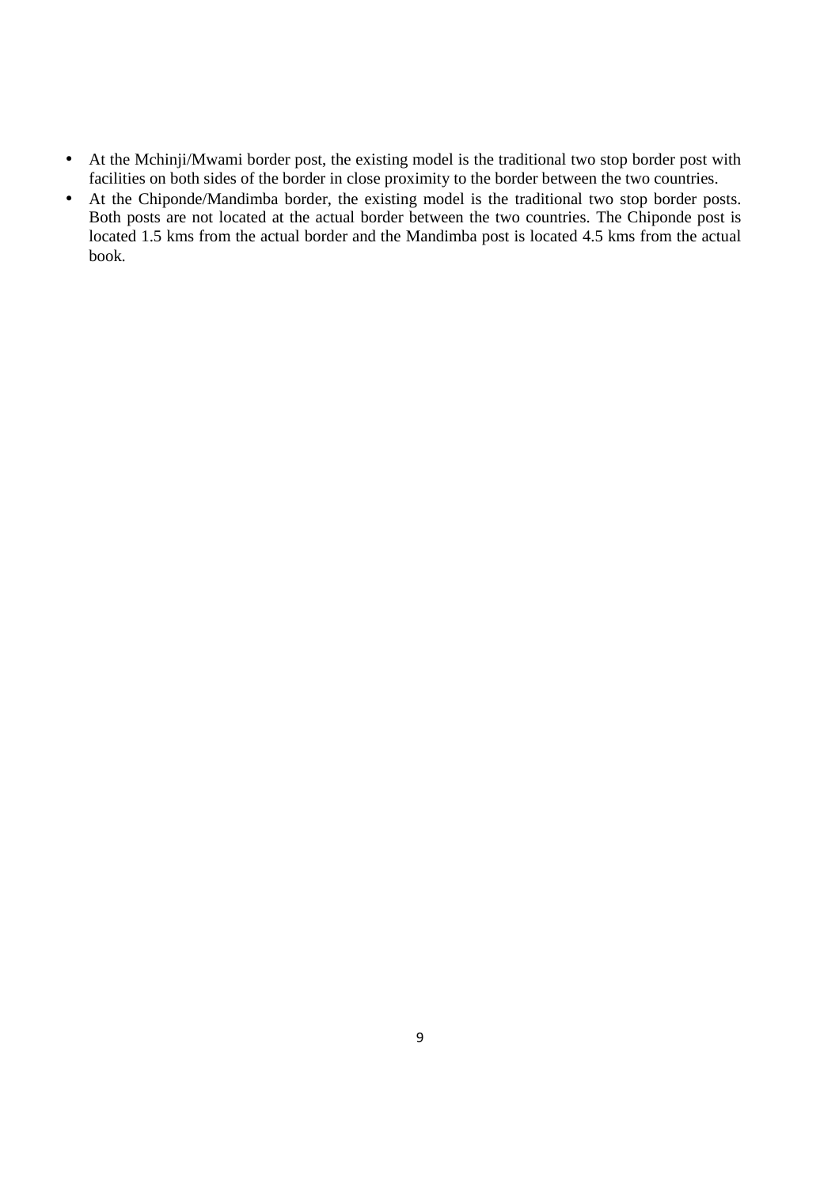- At the Mchinji/Mwami border post, the existing model is the traditional two stop border post with facilities on both sides of the border in close proximity to the border between the two countries.
- At the Chiponde/Mandimba border, the existing model is the traditional two stop border posts. Both posts are not located at the actual border between the two countries. The Chiponde post is located 1.5 kms from the actual border and the Mandimba post is located 4.5 kms from the actual book.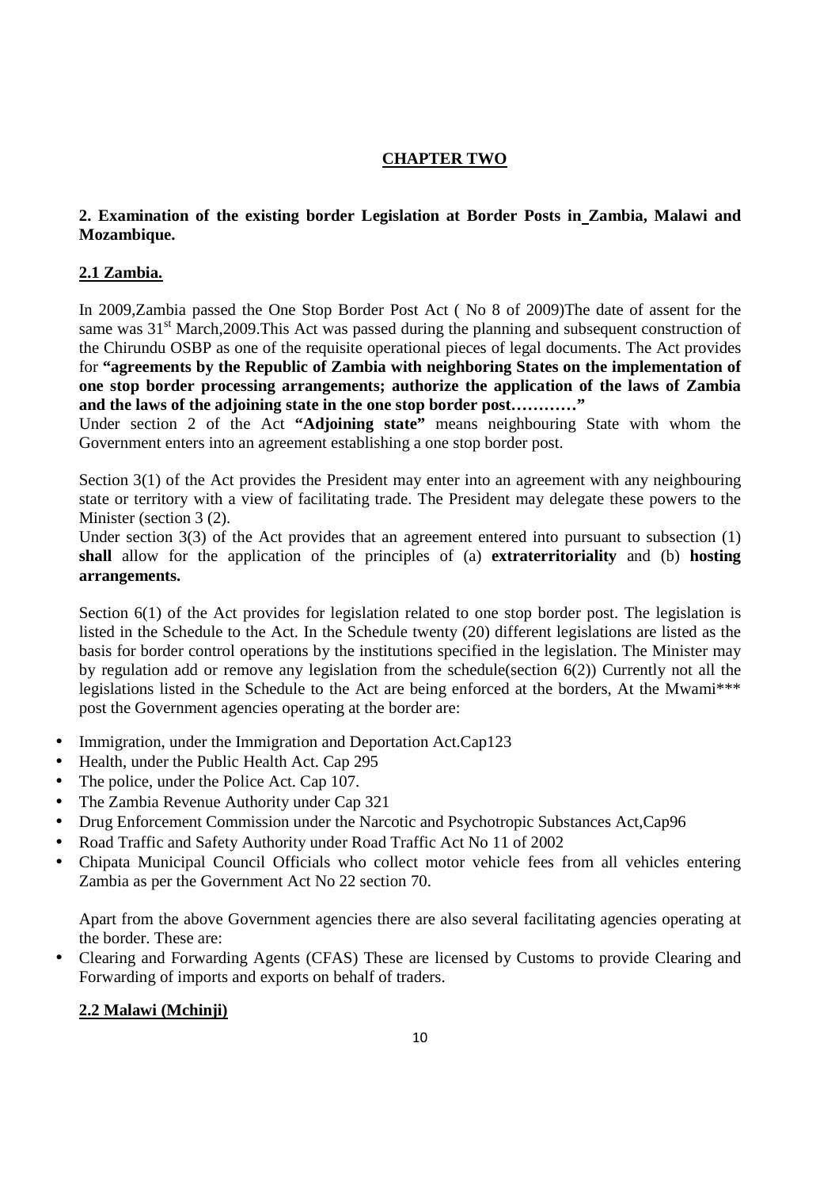# **CHAPTER TWO**

# **2. Examination of the existing border Legislation at Border Posts in Zambia, Malawi and Mozambique.**

# **2.1 Zambia.**

In 2009,Zambia passed the One Stop Border Post Act ( No 8 of 2009)The date of assent for the same was  $31<sup>st</sup>$  March, 2009. This Act was passed during the planning and subsequent construction of the Chirundu OSBP as one of the requisite operational pieces of legal documents. The Act provides for **"agreements by the Republic of Zambia with neighboring States on the implementation of one stop border processing arrangements; authorize the application of the laws of Zambia and the laws of the adjoining state in the one stop border post…………"** 

Under section 2 of the Act **"Adjoining state"** means neighbouring State with whom the Government enters into an agreement establishing a one stop border post.

Section 3(1) of the Act provides the President may enter into an agreement with any neighbouring state or territory with a view of facilitating trade. The President may delegate these powers to the Minister (section 3 (2).

Under section 3(3) of the Act provides that an agreement entered into pursuant to subsection (1) **shall** allow for the application of the principles of (a) **extraterritoriality** and (b) **hosting arrangements.** 

Section 6(1) of the Act provides for legislation related to one stop border post. The legislation is listed in the Schedule to the Act. In the Schedule twenty (20) different legislations are listed as the basis for border control operations by the institutions specified in the legislation. The Minister may by regulation add or remove any legislation from the schedule(section 6(2)) Currently not all the legislations listed in the Schedule to the Act are being enforced at the borders, At the Mwami\*\*\* post the Government agencies operating at the border are:

- Immigration, under the Immigration and Deportation Act.Cap123
- Health, under the Public Health Act. Cap 295
- The police, under the Police Act. Cap 107.
- The Zambia Revenue Authority under Cap 321
- Drug Enforcement Commission under the Narcotic and Psychotropic Substances Act,Cap96
- Road Traffic and Safety Authority under Road Traffic Act No 11 of 2002
- Chipata Municipal Council Officials who collect motor vehicle fees from all vehicles entering Zambia as per the Government Act No 22 section 70.

Apart from the above Government agencies there are also several facilitating agencies operating at the border. These are:

• Clearing and Forwarding Agents (CFAS) These are licensed by Customs to provide Clearing and Forwarding of imports and exports on behalf of traders.

### **2.2 Malawi (Mchinji)**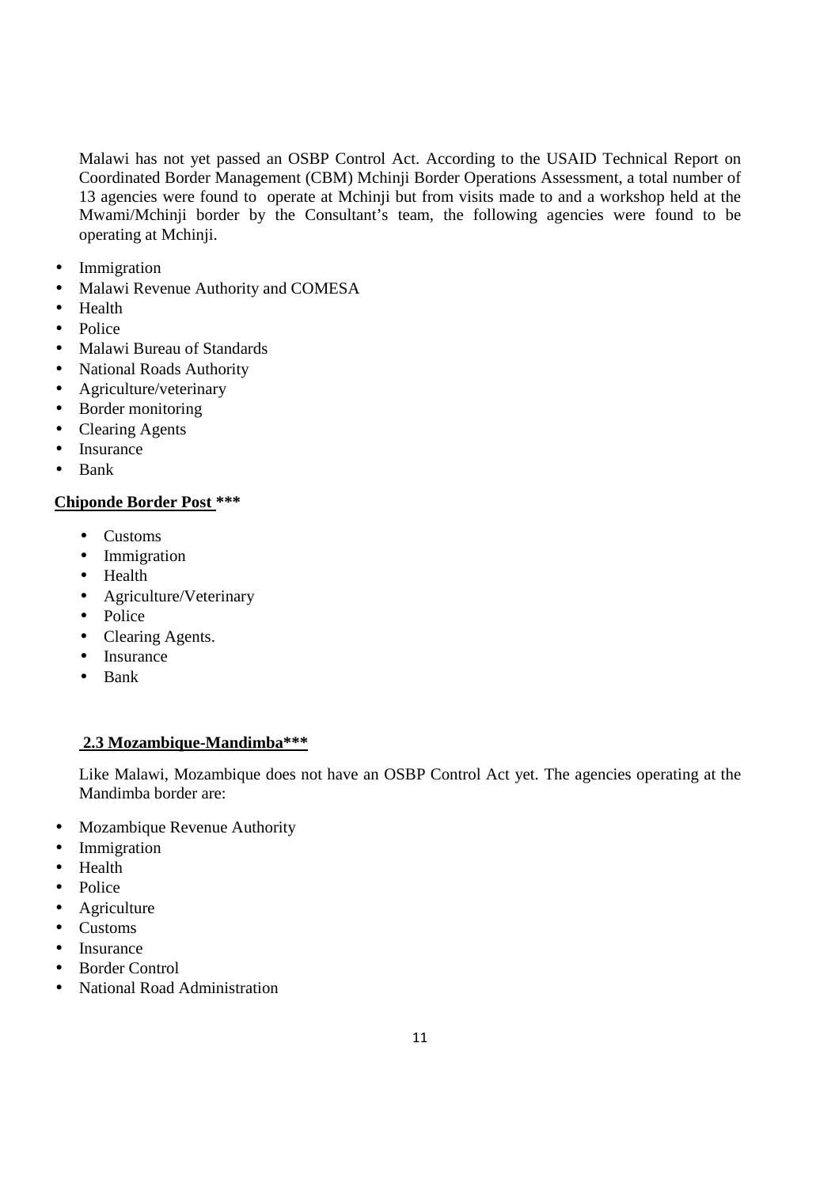Malawi has not yet passed an OSBP Control Act. According to the USAID Technical Report on Coordinated Border Management (CBM) Mchinji Border Operations Assessment, a total number of 13 agencies were found to operate at Mchinji but from visits made to and a workshop held at the Mwami/Mchinji border by the Consultant's team, the following agencies were found to be operating at Mchinji.

- Immigration
- Malawi Revenue Authority and COMESA
- Health
- Police
- Malawi Bureau of Standards
- National Roads Authority
- Agriculture/veterinary
- Border monitoring
- Clearing Agents
- Insurance
- Bank

# **Chiponde Border Post \*\*\***

- Customs
- Immigration
- Health
- Agriculture/Veterinary
- Police
- Clearing Agents.
- Insurance
- Bank

## **2.3 Mozambique-Mandimba\*\*\***

Like Malawi, Mozambique does not have an OSBP Control Act yet. The agencies operating at the Mandimba border are:

- Mozambique Revenue Authority
- Immigration
- Health
- Police
- Agriculture
- Customs
- Insurance
- Border Control
- National Road Administration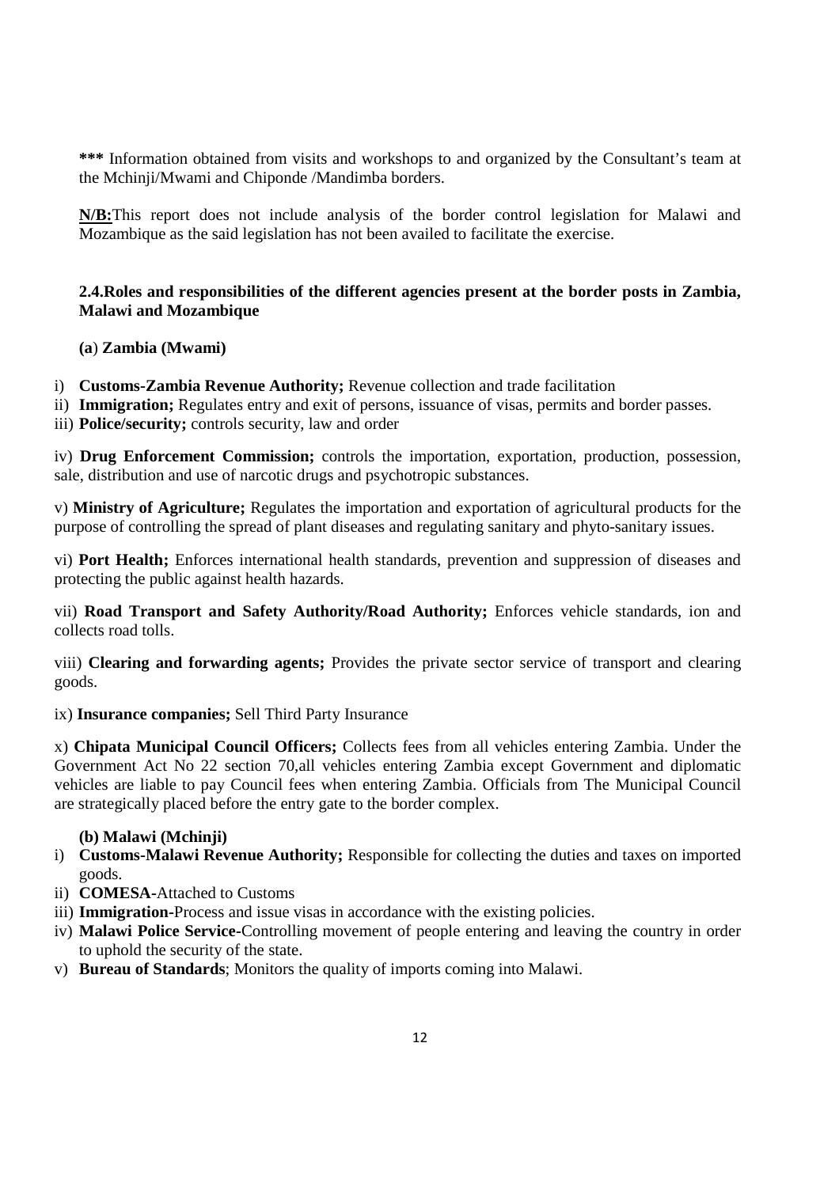**\*\*\*** Information obtained from visits and workshops to and organized by the Consultant's team at the Mchinji/Mwami and Chiponde /Mandimba borders.

**N/B:**This report does not include analysis of the border control legislation for Malawi and Mozambique as the said legislation has not been availed to facilitate the exercise.

## **2.4.Roles and responsibilities of the different agencies present at the border posts in Zambia, Malawi and Mozambique**

### **(a**) **Zambia (Mwami)**

- i) **Customs-Zambia Revenue Authority;** Revenue collection and trade facilitation
- ii) **Immigration;** Regulates entry and exit of persons, issuance of visas, permits and border passes.
- iii) **Police/security;** controls security, law and order

iv) **Drug Enforcement Commission;** controls the importation, exportation, production, possession, sale, distribution and use of narcotic drugs and psychotropic substances.

v) **Ministry of Agriculture;** Regulates the importation and exportation of agricultural products for the purpose of controlling the spread of plant diseases and regulating sanitary and phyto-sanitary issues.

vi) **Port Health;** Enforces international health standards, prevention and suppression of diseases and protecting the public against health hazards.

vii) **Road Transport and Safety Authority/Road Authority;** Enforces vehicle standards, ion and collects road tolls.

viii) **Clearing and forwarding agents;** Provides the private sector service of transport and clearing goods.

### ix) **Insurance companies;** Sell Third Party Insurance

x) **Chipata Municipal Council Officers;** Collects fees from all vehicles entering Zambia. Under the Government Act No 22 section 70,all vehicles entering Zambia except Government and diplomatic vehicles are liable to pay Council fees when entering Zambia. Officials from The Municipal Council are strategically placed before the entry gate to the border complex.

### **(b) Malawi (Mchinji)**

- i) **Customs-Malawi Revenue Authority;** Responsible for collecting the duties and taxes on imported goods.
- ii) **COMESA-**Attached to Customs
- iii) **Immigration-**Process and issue visas in accordance with the existing policies.
- iv) **Malawi Police Service-**Controlling movement of people entering and leaving the country in order to uphold the security of the state.
- v) **Bureau of Standards**; Monitors the quality of imports coming into Malawi.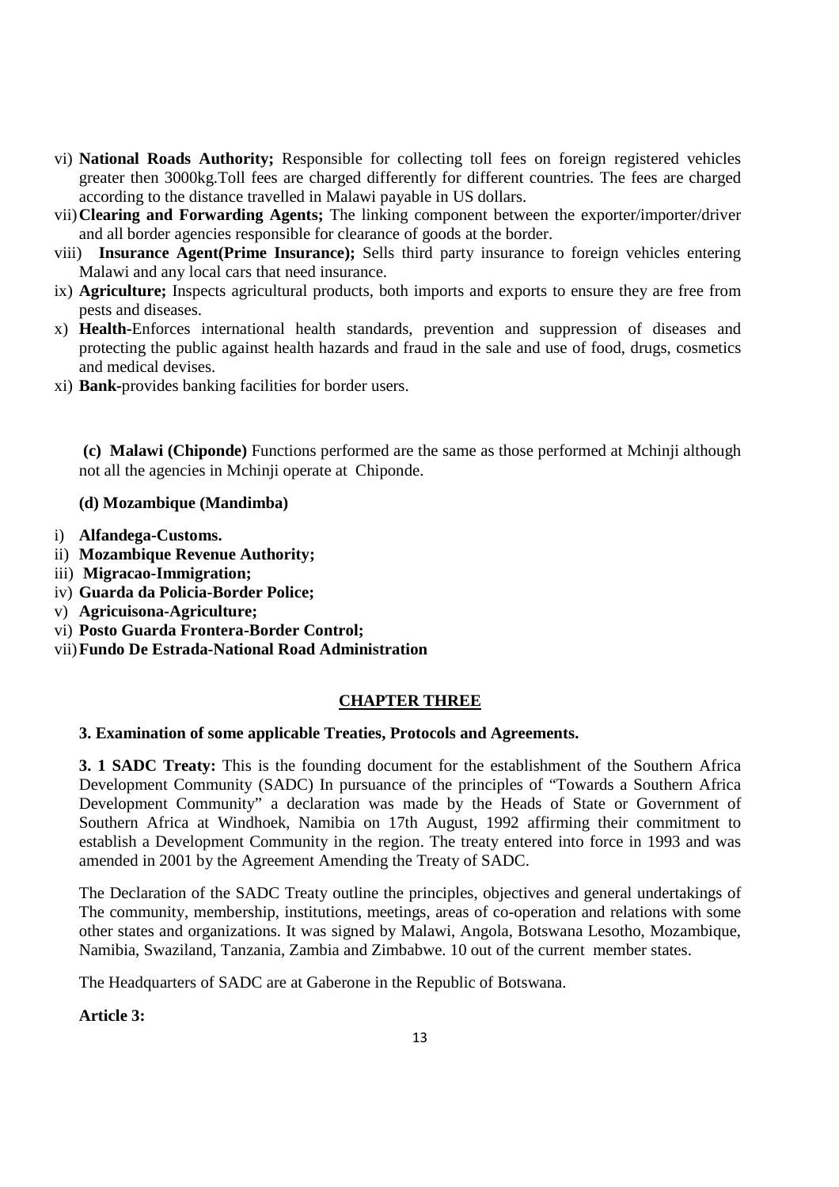- vi) **National Roads Authority;** Responsible for collecting toll fees on foreign registered vehicles greater then 3000kg.Toll fees are charged differently for different countries. The fees are charged according to the distance travelled in Malawi payable in US dollars.
- vii)**Clearing and Forwarding Agents;** The linking component between the exporter/importer/driver and all border agencies responsible for clearance of goods at the border.
- viii) **Insurance Agent(Prime Insurance);** Sells third party insurance to foreign vehicles entering Malawi and any local cars that need insurance.
- ix) **Agriculture;** Inspects agricultural products, both imports and exports to ensure they are free from pests and diseases.
- x) **Health-**Enforces international health standards, prevention and suppression of diseases and protecting the public against health hazards and fraud in the sale and use of food, drugs, cosmetics and medical devises.
- xi) **Bank-**provides banking facilities for border users.

 **(c) Malawi (Chiponde)** Functions performed are the same as those performed at Mchinji although not all the agencies in Mchinji operate at Chiponde.

#### **(d) Mozambique (Mandimba)**

- i) **Alfandega-Customs.**
- ii) **Mozambique Revenue Authority;**
- iii) **Migracao-Immigration;**
- iv) **Guarda da Policia-Border Police;**
- v) **Agricuisona-Agriculture;**
- vi) **Posto Guarda Frontera-Border Control;**
- vii)**Fundo De Estrada-National Road Administration**

#### **CHAPTER THREE**

#### **3. Examination of some applicable Treaties, Protocols and Agreements.**

**3. 1 SADC Treaty:** This is the founding document for the establishment of the Southern Africa Development Community (SADC) In pursuance of the principles of "Towards a Southern Africa Development Community" a declaration was made by the Heads of State or Government of Southern Africa at Windhoek, Namibia on 17th August, 1992 affirming their commitment to establish a Development Community in the region. The treaty entered into force in 1993 and was amended in 2001 by the Agreement Amending the Treaty of SADC.

The Declaration of the SADC Treaty outline the principles, objectives and general undertakings of The community, membership, institutions, meetings, areas of co-operation and relations with some other states and organizations. It was signed by Malawi, Angola, Botswana Lesotho, Mozambique, Namibia, Swaziland, Tanzania, Zambia and Zimbabwe. 10 out of the current member states.

The Headquarters of SADC are at Gaberone in the Republic of Botswana.

### **Article 3:**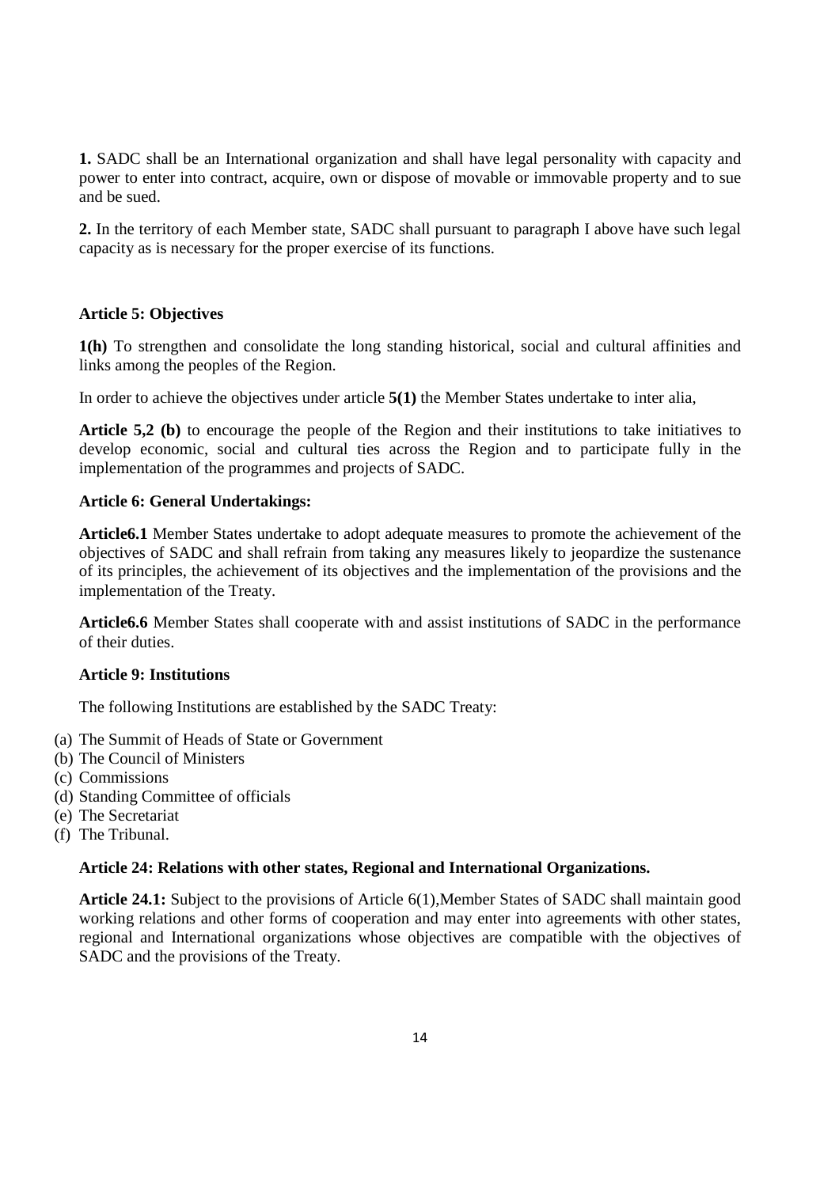**1.** SADC shall be an International organization and shall have legal personality with capacity and power to enter into contract, acquire, own or dispose of movable or immovable property and to sue and be sued.

**2.** In the territory of each Member state, SADC shall pursuant to paragraph I above have such legal capacity as is necessary for the proper exercise of its functions.

### **Article 5: Objectives**

**1(h)** To strengthen and consolidate the long standing historical, social and cultural affinities and links among the peoples of the Region.

In order to achieve the objectives under article **5(1)** the Member States undertake to inter alia,

**Article 5,2 (b)** to encourage the people of the Region and their institutions to take initiatives to develop economic, social and cultural ties across the Region and to participate fully in the implementation of the programmes and projects of SADC.

### **Article 6: General Undertakings:**

**Article6.1** Member States undertake to adopt adequate measures to promote the achievement of the objectives of SADC and shall refrain from taking any measures likely to jeopardize the sustenance of its principles, the achievement of its objectives and the implementation of the provisions and the implementation of the Treaty.

**Article6.6** Member States shall cooperate with and assist institutions of SADC in the performance of their duties.

### **Article 9: Institutions**

The following Institutions are established by the SADC Treaty:

- (a) The Summit of Heads of State or Government
- (b) The Council of Ministers
- (c) Commissions
- (d) Standing Committee of officials
- (e) The Secretariat
- (f) The Tribunal.

#### **Article 24: Relations with other states, Regional and International Organizations.**

**Article 24.1:** Subject to the provisions of Article 6(1),Member States of SADC shall maintain good working relations and other forms of cooperation and may enter into agreements with other states, regional and International organizations whose objectives are compatible with the objectives of SADC and the provisions of the Treaty.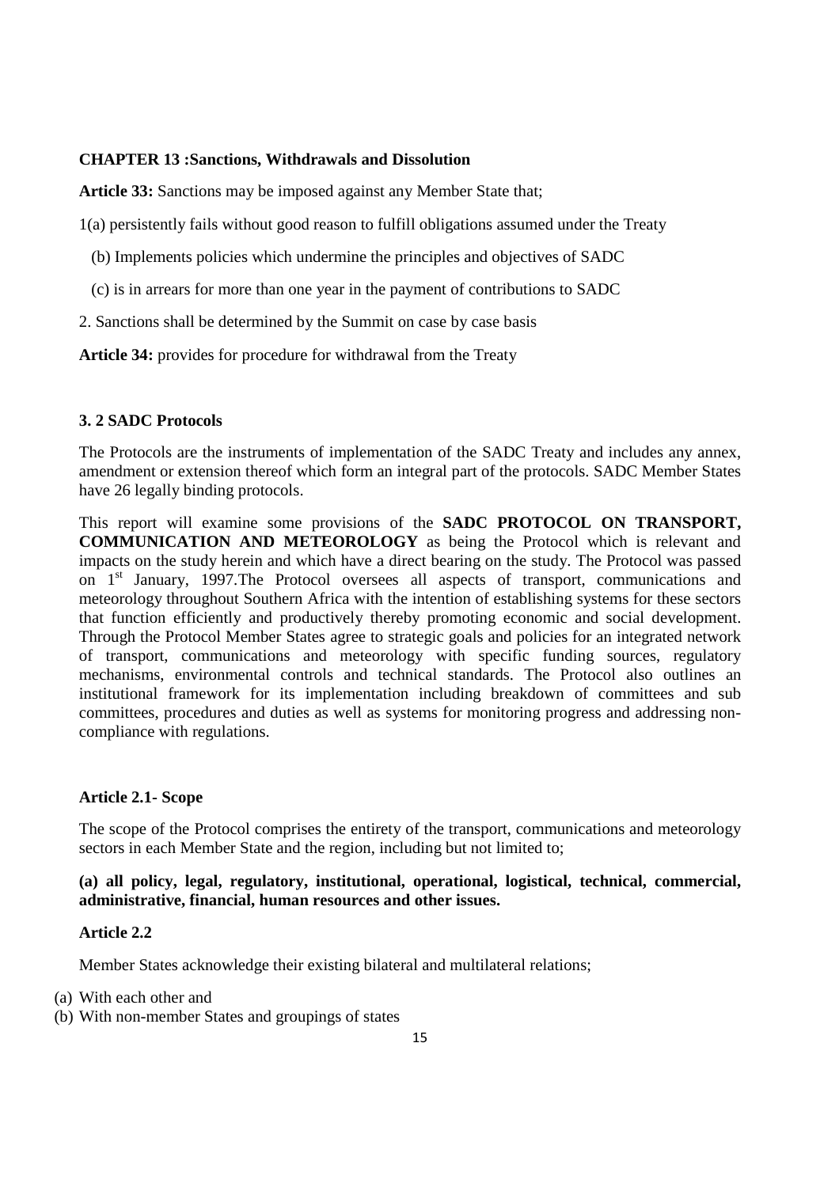# **CHAPTER 13 :Sanctions, Withdrawals and Dissolution**

**Article 33:** Sanctions may be imposed against any Member State that;

1(a) persistently fails without good reason to fulfill obligations assumed under the Treaty

- (b) Implements policies which undermine the principles and objectives of SADC
- (c) is in arrears for more than one year in the payment of contributions to SADC
- 2. Sanctions shall be determined by the Summit on case by case basis

**Article 34:** provides for procedure for withdrawal from the Treaty

#### **3. 2 SADC Protocols**

The Protocols are the instruments of implementation of the SADC Treaty and includes any annex, amendment or extension thereof which form an integral part of the protocols. SADC Member States have 26 legally binding protocols.

This report will examine some provisions of the **SADC PROTOCOL ON TRANSPORT, COMMUNICATION AND METEOROLOGY** as being the Protocol which is relevant and impacts on the study herein and which have a direct bearing on the study. The Protocol was passed on 1<sup>st</sup> January, 1997. The Protocol oversees all aspects of transport, communications and meteorology throughout Southern Africa with the intention of establishing systems for these sectors that function efficiently and productively thereby promoting economic and social development. Through the Protocol Member States agree to strategic goals and policies for an integrated network of transport, communications and meteorology with specific funding sources, regulatory mechanisms, environmental controls and technical standards. The Protocol also outlines an institutional framework for its implementation including breakdown of committees and sub committees, procedures and duties as well as systems for monitoring progress and addressing noncompliance with regulations.

#### **Article 2.1- Scope**

The scope of the Protocol comprises the entirety of the transport, communications and meteorology sectors in each Member State and the region, including but not limited to;

### **(a) all policy, legal, regulatory, institutional, operational, logistical, technical, commercial, administrative, financial, human resources and other issues.**

### **Article 2.2**

Member States acknowledge their existing bilateral and multilateral relations;

- (a) With each other and
- (b) With non-member States and groupings of states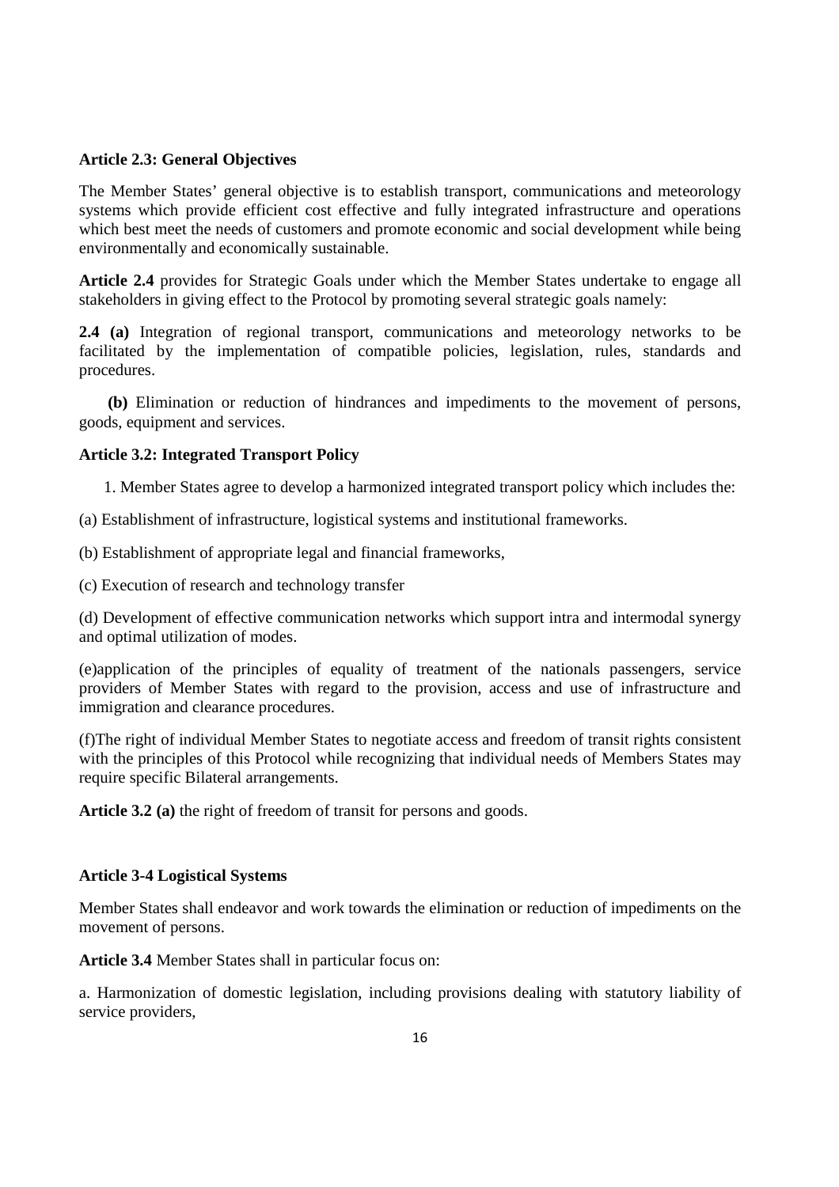#### **Article 2.3: General Objectives**

The Member States' general objective is to establish transport, communications and meteorology systems which provide efficient cost effective and fully integrated infrastructure and operations which best meet the needs of customers and promote economic and social development while being environmentally and economically sustainable.

**Article 2.4** provides for Strategic Goals under which the Member States undertake to engage all stakeholders in giving effect to the Protocol by promoting several strategic goals namely:

**2.4 (a)** Integration of regional transport, communications and meteorology networks to be facilitated by the implementation of compatible policies, legislation, rules, standards and procedures.

 **(b)** Elimination or reduction of hindrances and impediments to the movement of persons, goods, equipment and services.

#### **Article 3.2: Integrated Transport Policy**

1. Member States agree to develop a harmonized integrated transport policy which includes the:

(a) Establishment of infrastructure, logistical systems and institutional frameworks.

(b) Establishment of appropriate legal and financial frameworks,

(c) Execution of research and technology transfer

(d) Development of effective communication networks which support intra and intermodal synergy and optimal utilization of modes.

(e)application of the principles of equality of treatment of the nationals passengers, service providers of Member States with regard to the provision, access and use of infrastructure and immigration and clearance procedures.

(f)The right of individual Member States to negotiate access and freedom of transit rights consistent with the principles of this Protocol while recognizing that individual needs of Members States may require specific Bilateral arrangements.

**Article 3.2 (a)** the right of freedom of transit for persons and goods.

#### **Article 3-4 Logistical Systems**

Member States shall endeavor and work towards the elimination or reduction of impediments on the movement of persons.

**Article 3.4** Member States shall in particular focus on:

a. Harmonization of domestic legislation, including provisions dealing with statutory liability of service providers,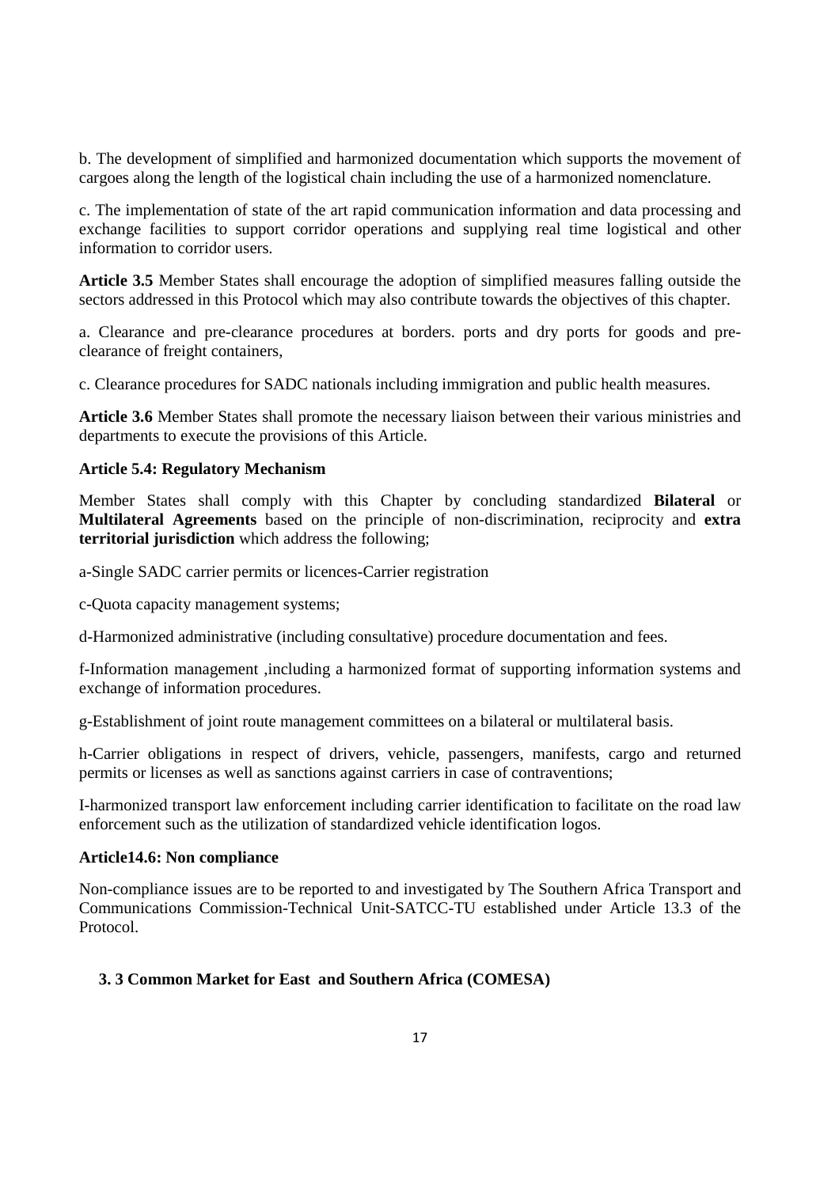b. The development of simplified and harmonized documentation which supports the movement of cargoes along the length of the logistical chain including the use of a harmonized nomenclature.

c. The implementation of state of the art rapid communication information and data processing and exchange facilities to support corridor operations and supplying real time logistical and other information to corridor users.

**Article 3.5** Member States shall encourage the adoption of simplified measures falling outside the sectors addressed in this Protocol which may also contribute towards the objectives of this chapter.

a. Clearance and pre-clearance procedures at borders. ports and dry ports for goods and preclearance of freight containers,

c. Clearance procedures for SADC nationals including immigration and public health measures.

**Article 3.6** Member States shall promote the necessary liaison between their various ministries and departments to execute the provisions of this Article.

#### **Article 5.4: Regulatory Mechanism**

Member States shall comply with this Chapter by concluding standardized **Bilateral** or **Multilateral Agreements** based on the principle of non-discrimination, reciprocity and **extra territorial jurisdiction** which address the following;

a-Single SADC carrier permits or licences-Carrier registration

c-Quota capacity management systems;

d-Harmonized administrative (including consultative) procedure documentation and fees.

f-Information management ,including a harmonized format of supporting information systems and exchange of information procedures.

g-Establishment of joint route management committees on a bilateral or multilateral basis.

h-Carrier obligations in respect of drivers, vehicle, passengers, manifests, cargo and returned permits or licenses as well as sanctions against carriers in case of contraventions;

I-harmonized transport law enforcement including carrier identification to facilitate on the road law enforcement such as the utilization of standardized vehicle identification logos.

#### **Article14.6: Non compliance**

Non-compliance issues are to be reported to and investigated by The Southern Africa Transport and Communications Commission-Technical Unit-SATCC-TU established under Article 13.3 of the Protocol.

#### **3. 3 Common Market for East and Southern Africa (COMESA)**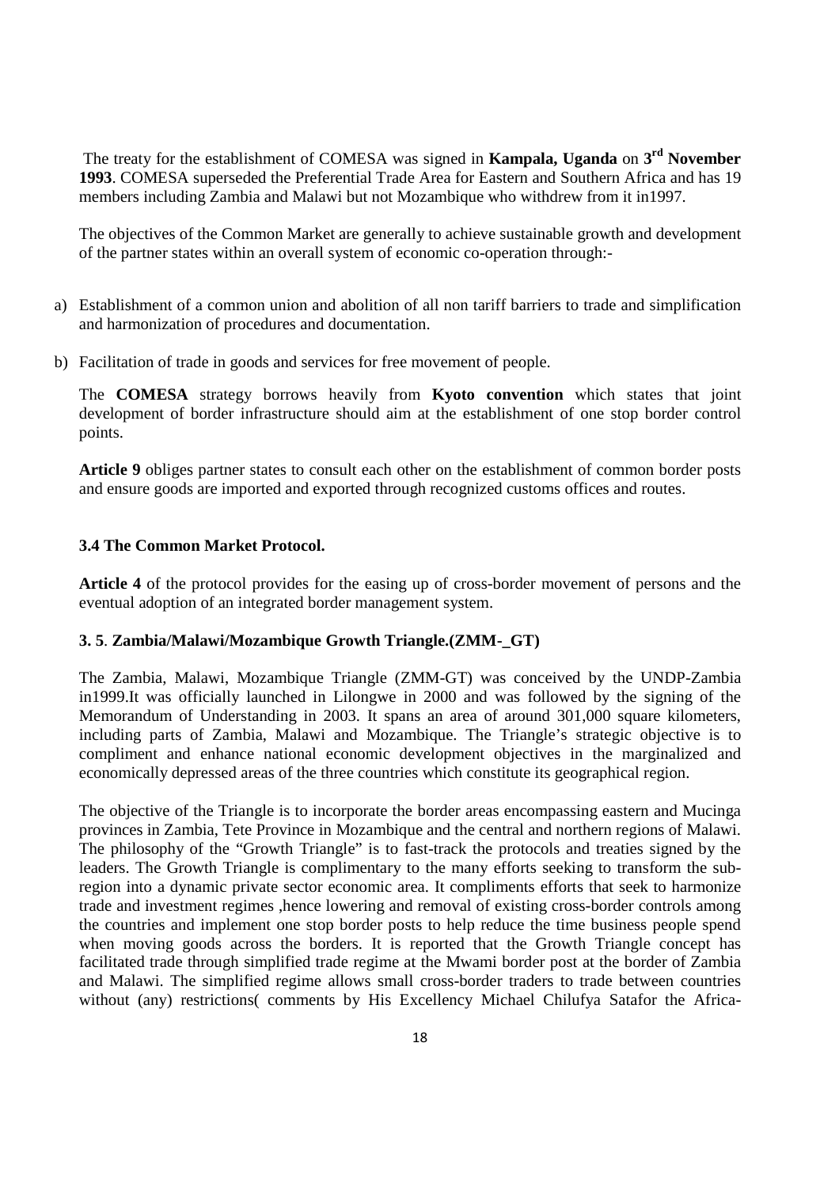The treaty for the establishment of COMESA was signed in **Kampala, Uganda** on **3 rd November 1993**. COMESA superseded the Preferential Trade Area for Eastern and Southern Africa and has 19 members including Zambia and Malawi but not Mozambique who withdrew from it in1997.

The objectives of the Common Market are generally to achieve sustainable growth and development of the partner states within an overall system of economic co-operation through:-

- a) Establishment of a common union and abolition of all non tariff barriers to trade and simplification and harmonization of procedures and documentation.
- b) Facilitation of trade in goods and services for free movement of people.

The **COMESA** strategy borrows heavily from **Kyoto convention** which states that joint development of border infrastructure should aim at the establishment of one stop border control points.

**Article 9** obliges partner states to consult each other on the establishment of common border posts and ensure goods are imported and exported through recognized customs offices and routes.

#### **3.4 The Common Market Protocol.**

**Article 4** of the protocol provides for the easing up of cross-border movement of persons and the eventual adoption of an integrated border management system.

#### **3. 5**. **Zambia/Malawi/Mozambique Growth Triangle.(ZMM-\_GT)**

The Zambia, Malawi, Mozambique Triangle (ZMM-GT) was conceived by the UNDP-Zambia in1999.It was officially launched in Lilongwe in 2000 and was followed by the signing of the Memorandum of Understanding in 2003. It spans an area of around 301,000 square kilometers, including parts of Zambia, Malawi and Mozambique. The Triangle's strategic objective is to compliment and enhance national economic development objectives in the marginalized and economically depressed areas of the three countries which constitute its geographical region.

The objective of the Triangle is to incorporate the border areas encompassing eastern and Mucinga provinces in Zambia, Tete Province in Mozambique and the central and northern regions of Malawi. The philosophy of the "Growth Triangle" is to fast-track the protocols and treaties signed by the leaders. The Growth Triangle is complimentary to the many efforts seeking to transform the subregion into a dynamic private sector economic area. It compliments efforts that seek to harmonize trade and investment regimes ,hence lowering and removal of existing cross-border controls among the countries and implement one stop border posts to help reduce the time business people spend when moving goods across the borders. It is reported that the Growth Triangle concept has facilitated trade through simplified trade regime at the Mwami border post at the border of Zambia and Malawi. The simplified regime allows small cross-border traders to trade between countries without (any) restrictions( comments by His Excellency Michael Chilufya Satafor the Africa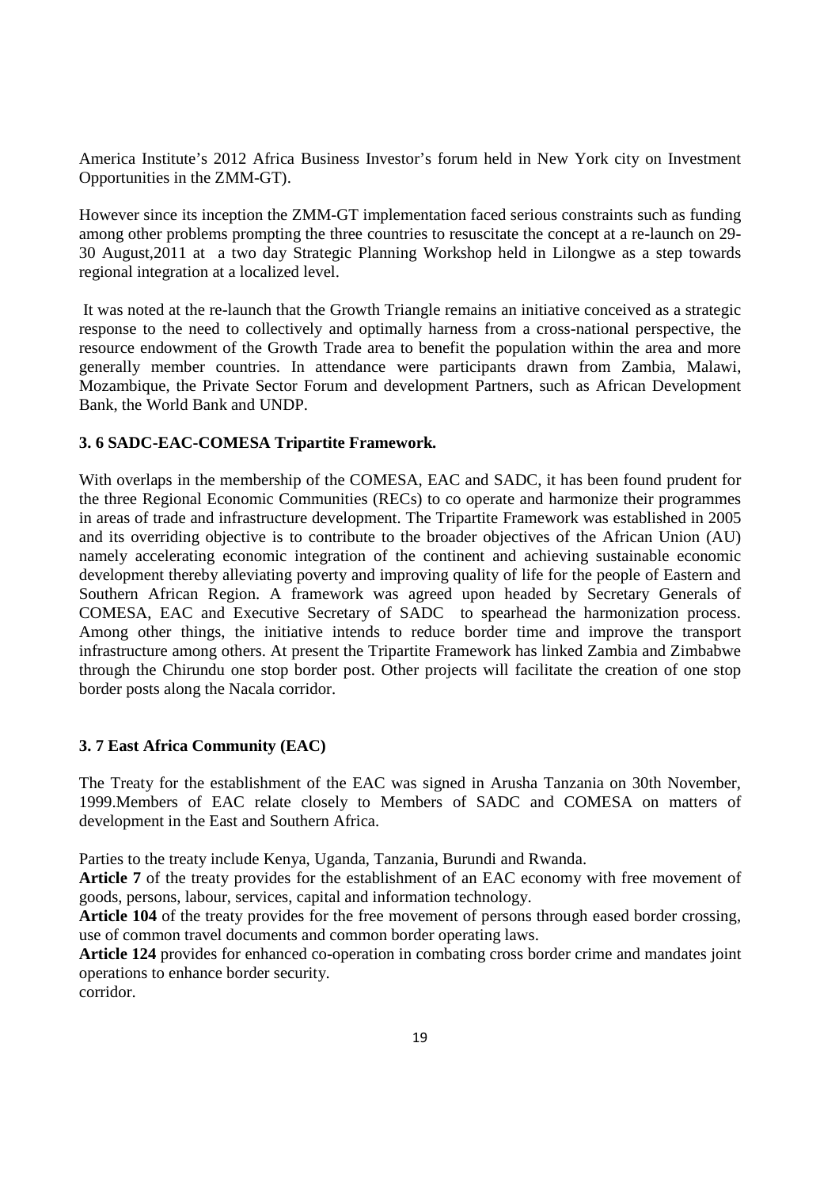America Institute's 2012 Africa Business Investor's forum held in New York city on Investment Opportunities in the ZMM-GT).

However since its inception the ZMM-GT implementation faced serious constraints such as funding among other problems prompting the three countries to resuscitate the concept at a re-launch on 29- 30 August,2011 at a two day Strategic Planning Workshop held in Lilongwe as a step towards regional integration at a localized level.

 It was noted at the re-launch that the Growth Triangle remains an initiative conceived as a strategic response to the need to collectively and optimally harness from a cross-national perspective, the resource endowment of the Growth Trade area to benefit the population within the area and more generally member countries. In attendance were participants drawn from Zambia, Malawi, Mozambique, the Private Sector Forum and development Partners, such as African Development Bank, the World Bank and UNDP.

### **3. 6 SADC-EAC-COMESA Tripartite Framework.**

With overlaps in the membership of the COMESA, EAC and SADC, it has been found prudent for the three Regional Economic Communities (RECs) to co operate and harmonize their programmes in areas of trade and infrastructure development. The Tripartite Framework was established in 2005 and its overriding objective is to contribute to the broader objectives of the African Union (AU) namely accelerating economic integration of the continent and achieving sustainable economic development thereby alleviating poverty and improving quality of life for the people of Eastern and Southern African Region. A framework was agreed upon headed by Secretary Generals of COMESA, EAC and Executive Secretary of SADC to spearhead the harmonization process. Among other things, the initiative intends to reduce border time and improve the transport infrastructure among others. At present the Tripartite Framework has linked Zambia and Zimbabwe through the Chirundu one stop border post. Other projects will facilitate the creation of one stop border posts along the Nacala corridor.

#### **3. 7 East Africa Community (EAC)**

The Treaty for the establishment of the EAC was signed in Arusha Tanzania on 30th November, 1999.Members of EAC relate closely to Members of SADC and COMESA on matters of development in the East and Southern Africa.

Parties to the treaty include Kenya, Uganda, Tanzania, Burundi and Rwanda.

**Article 7** of the treaty provides for the establishment of an EAC economy with free movement of goods, persons, labour, services, capital and information technology.

**Article 104** of the treaty provides for the free movement of persons through eased border crossing, use of common travel documents and common border operating laws.

**Article 124** provides for enhanced co-operation in combating cross border crime and mandates joint operations to enhance border security.

corridor.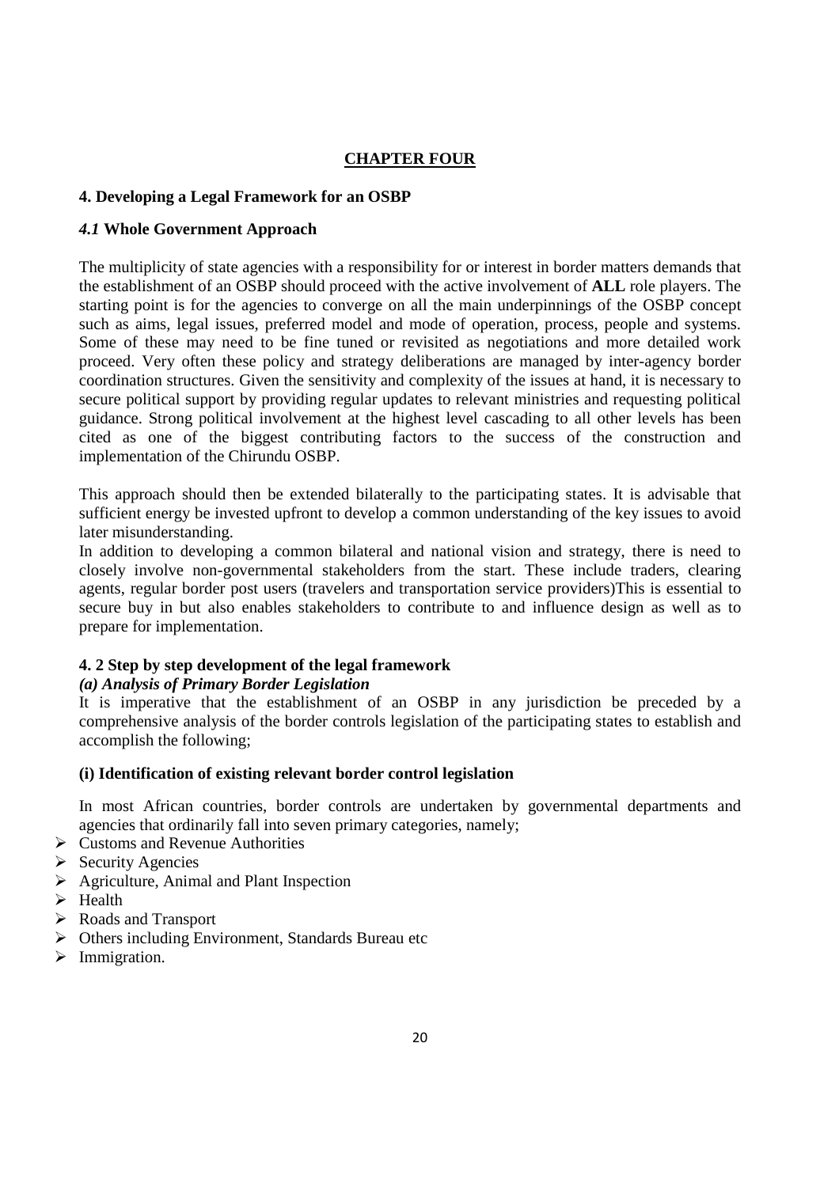# **CHAPTER FOUR**

# **4. Developing a Legal Framework for an OSBP**

### *4.1* **Whole Government Approach**

The multiplicity of state agencies with a responsibility for or interest in border matters demands that the establishment of an OSBP should proceed with the active involvement of **ALL** role players. The starting point is for the agencies to converge on all the main underpinnings of the OSBP concept such as aims, legal issues, preferred model and mode of operation, process, people and systems. Some of these may need to be fine tuned or revisited as negotiations and more detailed work proceed. Very often these policy and strategy deliberations are managed by inter-agency border coordination structures. Given the sensitivity and complexity of the issues at hand, it is necessary to secure political support by providing regular updates to relevant ministries and requesting political guidance. Strong political involvement at the highest level cascading to all other levels has been cited as one of the biggest contributing factors to the success of the construction and implementation of the Chirundu OSBP.

This approach should then be extended bilaterally to the participating states. It is advisable that sufficient energy be invested upfront to develop a common understanding of the key issues to avoid later misunderstanding.

In addition to developing a common bilateral and national vision and strategy, there is need to closely involve non-governmental stakeholders from the start. These include traders, clearing agents, regular border post users (travelers and transportation service providers)This is essential to secure buy in but also enables stakeholders to contribute to and influence design as well as to prepare for implementation.

### **4. 2 Step by step development of the legal framework**

### *(a) Analysis of Primary Border Legislation*

It is imperative that the establishment of an OSBP in any jurisdiction be preceded by a comprehensive analysis of the border controls legislation of the participating states to establish and accomplish the following;

### **(i) Identification of existing relevant border control legislation**

In most African countries, border controls are undertaken by governmental departments and agencies that ordinarily fall into seven primary categories, namely;

- ▶ Customs and Revenue Authorities
- > Security Agencies
- ▶ Agriculture, Animal and Plant Inspection
- $\triangleright$  Health
- Roads and Transport
- > Others including Environment, Standards Bureau etc
- > Immigration.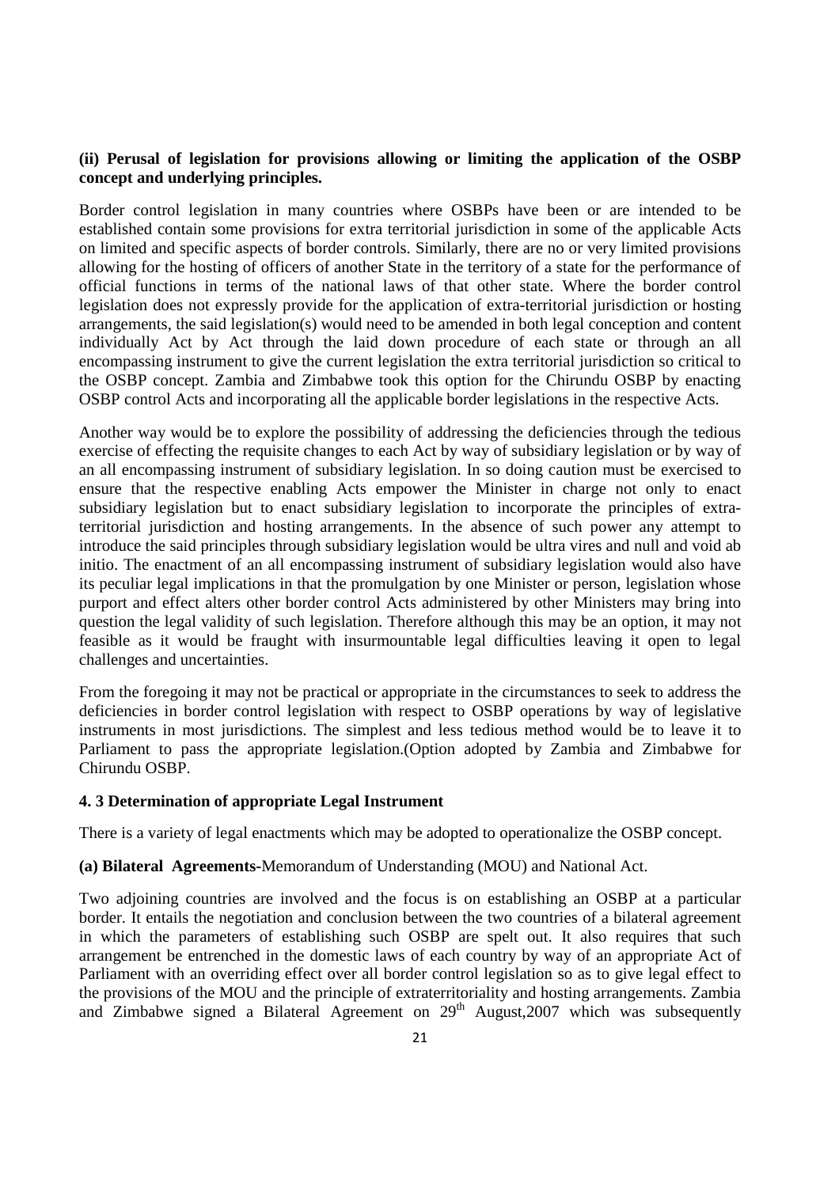#### **(ii) Perusal of legislation for provisions allowing or limiting the application of the OSBP concept and underlying principles.**

Border control legislation in many countries where OSBPs have been or are intended to be established contain some provisions for extra territorial jurisdiction in some of the applicable Acts on limited and specific aspects of border controls. Similarly, there are no or very limited provisions allowing for the hosting of officers of another State in the territory of a state for the performance of official functions in terms of the national laws of that other state. Where the border control legislation does not expressly provide for the application of extra-territorial jurisdiction or hosting arrangements, the said legislation(s) would need to be amended in both legal conception and content individually Act by Act through the laid down procedure of each state or through an all encompassing instrument to give the current legislation the extra territorial jurisdiction so critical to the OSBP concept. Zambia and Zimbabwe took this option for the Chirundu OSBP by enacting OSBP control Acts and incorporating all the applicable border legislations in the respective Acts.

Another way would be to explore the possibility of addressing the deficiencies through the tedious exercise of effecting the requisite changes to each Act by way of subsidiary legislation or by way of an all encompassing instrument of subsidiary legislation. In so doing caution must be exercised to ensure that the respective enabling Acts empower the Minister in charge not only to enact subsidiary legislation but to enact subsidiary legislation to incorporate the principles of extraterritorial jurisdiction and hosting arrangements. In the absence of such power any attempt to introduce the said principles through subsidiary legislation would be ultra vires and null and void ab initio. The enactment of an all encompassing instrument of subsidiary legislation would also have its peculiar legal implications in that the promulgation by one Minister or person, legislation whose purport and effect alters other border control Acts administered by other Ministers may bring into question the legal validity of such legislation. Therefore although this may be an option, it may not feasible as it would be fraught with insurmountable legal difficulties leaving it open to legal challenges and uncertainties.

From the foregoing it may not be practical or appropriate in the circumstances to seek to address the deficiencies in border control legislation with respect to OSBP operations by way of legislative instruments in most jurisdictions. The simplest and less tedious method would be to leave it to Parliament to pass the appropriate legislation.(Option adopted by Zambia and Zimbabwe for Chirundu OSBP.

#### **4. 3 Determination of appropriate Legal Instrument**

There is a variety of legal enactments which may be adopted to operationalize the OSBP concept.

#### **(a) Bilateral Agreements-**Memorandum of Understanding (MOU) and National Act.

Two adjoining countries are involved and the focus is on establishing an OSBP at a particular border. It entails the negotiation and conclusion between the two countries of a bilateral agreement in which the parameters of establishing such OSBP are spelt out. It also requires that such arrangement be entrenched in the domestic laws of each country by way of an appropriate Act of Parliament with an overriding effect over all border control legislation so as to give legal effect to the provisions of the MOU and the principle of extraterritoriality and hosting arrangements. Zambia and Zimbabwe signed a Bilateral Agreement on  $29<sup>th</sup>$  August, 2007 which was subsequently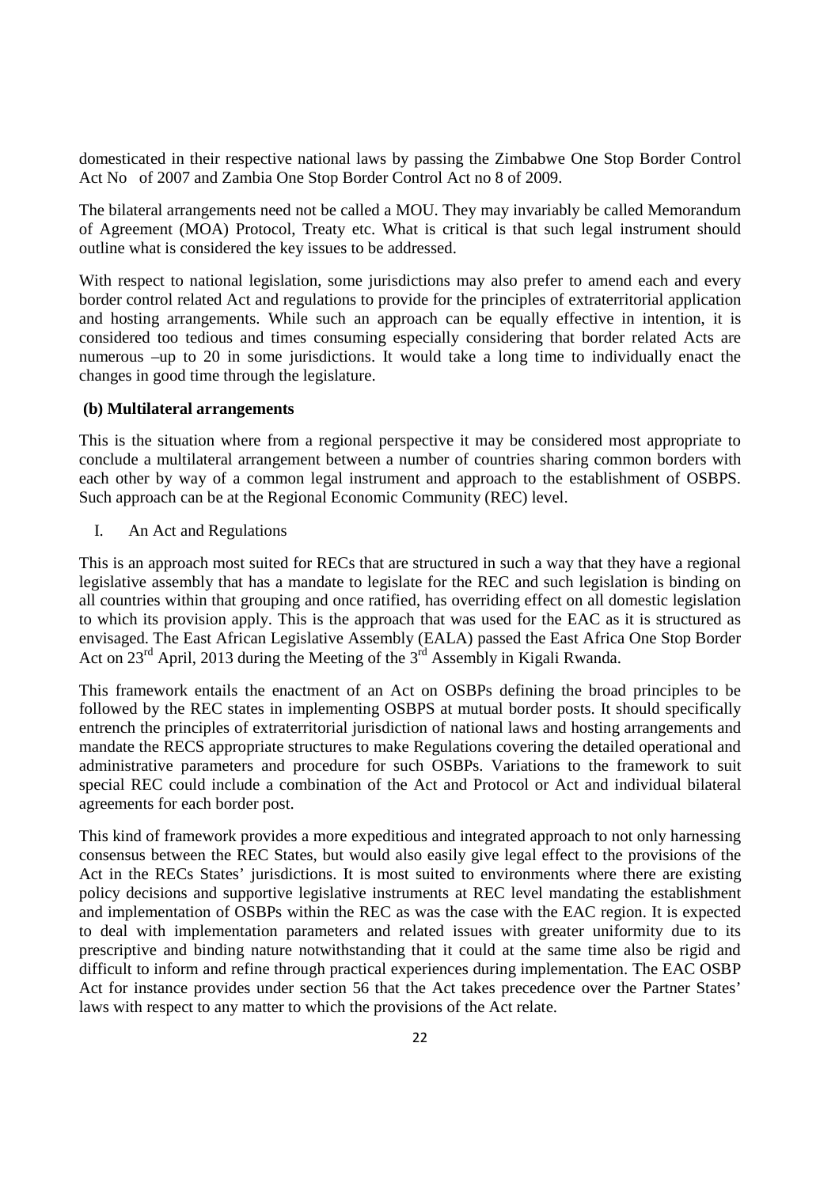domesticated in their respective national laws by passing the Zimbabwe One Stop Border Control Act No of 2007 and Zambia One Stop Border Control Act no 8 of 2009.

The bilateral arrangements need not be called a MOU. They may invariably be called Memorandum of Agreement (MOA) Protocol, Treaty etc. What is critical is that such legal instrument should outline what is considered the key issues to be addressed.

With respect to national legislation, some jurisdictions may also prefer to amend each and every border control related Act and regulations to provide for the principles of extraterritorial application and hosting arrangements. While such an approach can be equally effective in intention, it is considered too tedious and times consuming especially considering that border related Acts are numerous –up to 20 in some jurisdictions. It would take a long time to individually enact the changes in good time through the legislature.

#### **(b) Multilateral arrangements**

This is the situation where from a regional perspective it may be considered most appropriate to conclude a multilateral arrangement between a number of countries sharing common borders with each other by way of a common legal instrument and approach to the establishment of OSBPS. Such approach can be at the Regional Economic Community (REC) level.

I. An Act and Regulations

This is an approach most suited for RECs that are structured in such a way that they have a regional legislative assembly that has a mandate to legislate for the REC and such legislation is binding on all countries within that grouping and once ratified, has overriding effect on all domestic legislation to which its provision apply. This is the approach that was used for the EAC as it is structured as envisaged. The East African Legislative Assembly (EALA) passed the East Africa One Stop Border Act on 23<sup>rd</sup> April, 2013 during the Meeting of the 3<sup>rd</sup> Assembly in Kigali Rwanda.

This framework entails the enactment of an Act on OSBPs defining the broad principles to be followed by the REC states in implementing OSBPS at mutual border posts. It should specifically entrench the principles of extraterritorial jurisdiction of national laws and hosting arrangements and mandate the RECS appropriate structures to make Regulations covering the detailed operational and administrative parameters and procedure for such OSBPs. Variations to the framework to suit special REC could include a combination of the Act and Protocol or Act and individual bilateral agreements for each border post.

This kind of framework provides a more expeditious and integrated approach to not only harnessing consensus between the REC States, but would also easily give legal effect to the provisions of the Act in the RECs States' jurisdictions. It is most suited to environments where there are existing policy decisions and supportive legislative instruments at REC level mandating the establishment and implementation of OSBPs within the REC as was the case with the EAC region. It is expected to deal with implementation parameters and related issues with greater uniformity due to its prescriptive and binding nature notwithstanding that it could at the same time also be rigid and difficult to inform and refine through practical experiences during implementation. The EAC OSBP Act for instance provides under section 56 that the Act takes precedence over the Partner States' laws with respect to any matter to which the provisions of the Act relate.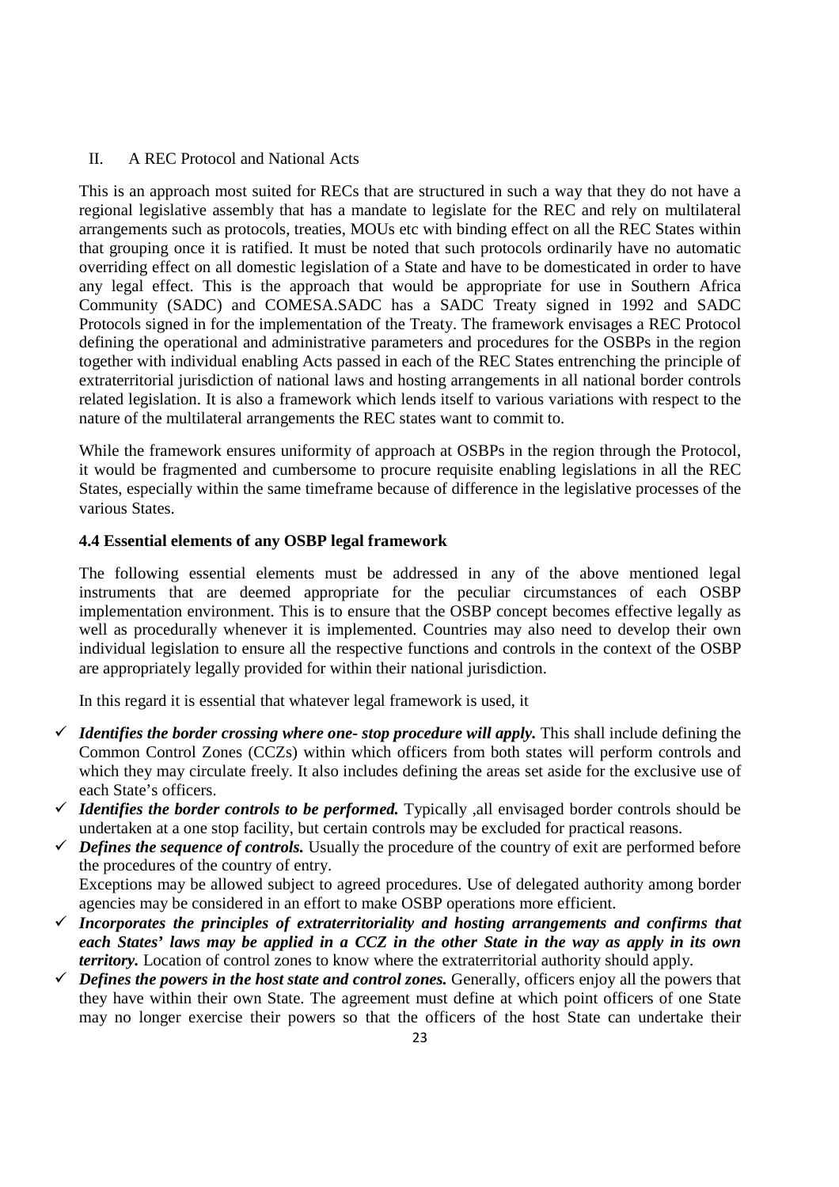#### II. A REC Protocol and National Acts

This is an approach most suited for RECs that are structured in such a way that they do not have a regional legislative assembly that has a mandate to legislate for the REC and rely on multilateral arrangements such as protocols, treaties, MOUs etc with binding effect on all the REC States within that grouping once it is ratified. It must be noted that such protocols ordinarily have no automatic overriding effect on all domestic legislation of a State and have to be domesticated in order to have any legal effect. This is the approach that would be appropriate for use in Southern Africa Community (SADC) and COMESA.SADC has a SADC Treaty signed in 1992 and SADC Protocols signed in for the implementation of the Treaty. The framework envisages a REC Protocol defining the operational and administrative parameters and procedures for the OSBPs in the region together with individual enabling Acts passed in each of the REC States entrenching the principle of extraterritorial jurisdiction of national laws and hosting arrangements in all national border controls related legislation. It is also a framework which lends itself to various variations with respect to the nature of the multilateral arrangements the REC states want to commit to.

While the framework ensures uniformity of approach at OSBPs in the region through the Protocol, it would be fragmented and cumbersome to procure requisite enabling legislations in all the REC States, especially within the same timeframe because of difference in the legislative processes of the various States.

### **4.4 Essential elements of any OSBP legal framework**

The following essential elements must be addressed in any of the above mentioned legal instruments that are deemed appropriate for the peculiar circumstances of each OSBP implementation environment. This is to ensure that the OSBP concept becomes effective legally as well as procedurally whenever it is implemented. Countries may also need to develop their own individual legislation to ensure all the respective functions and controls in the context of the OSBP are appropriately legally provided for within their national jurisdiction.

In this regard it is essential that whatever legal framework is used, it

- $\checkmark$  Identifies the border crossing where one- stop procedure will apply. This shall include defining the Common Control Zones (CCZs) within which officers from both states will perform controls and which they may circulate freely. It also includes defining the areas set aside for the exclusive use of each State's officers.
- *Identifies the border controls to be performed.* Typically , all envisaged border controls should be undertaken at a one stop facility, but certain controls may be excluded for practical reasons.
- $\checkmark$  Defines the sequence of controls. Usually the procedure of the country of exit are performed before the procedures of the country of entry.

Exceptions may be allowed subject to agreed procedures. Use of delegated authority among border agencies may be considered in an effort to make OSBP operations more efficient.

- $\checkmark$  Incorporates the principles of extraterritoriality and hosting arrangements and confirms that *each States' laws may be applied in a CCZ in the other State in the way as apply in its own territory.* Location of control zones to know where the extraterritorial authority should apply.
- $\checkmark$  Defines the powers in the host state and control zones. Generally, officers enjoy all the powers that they have within their own State. The agreement must define at which point officers of one State may no longer exercise their powers so that the officers of the host State can undertake their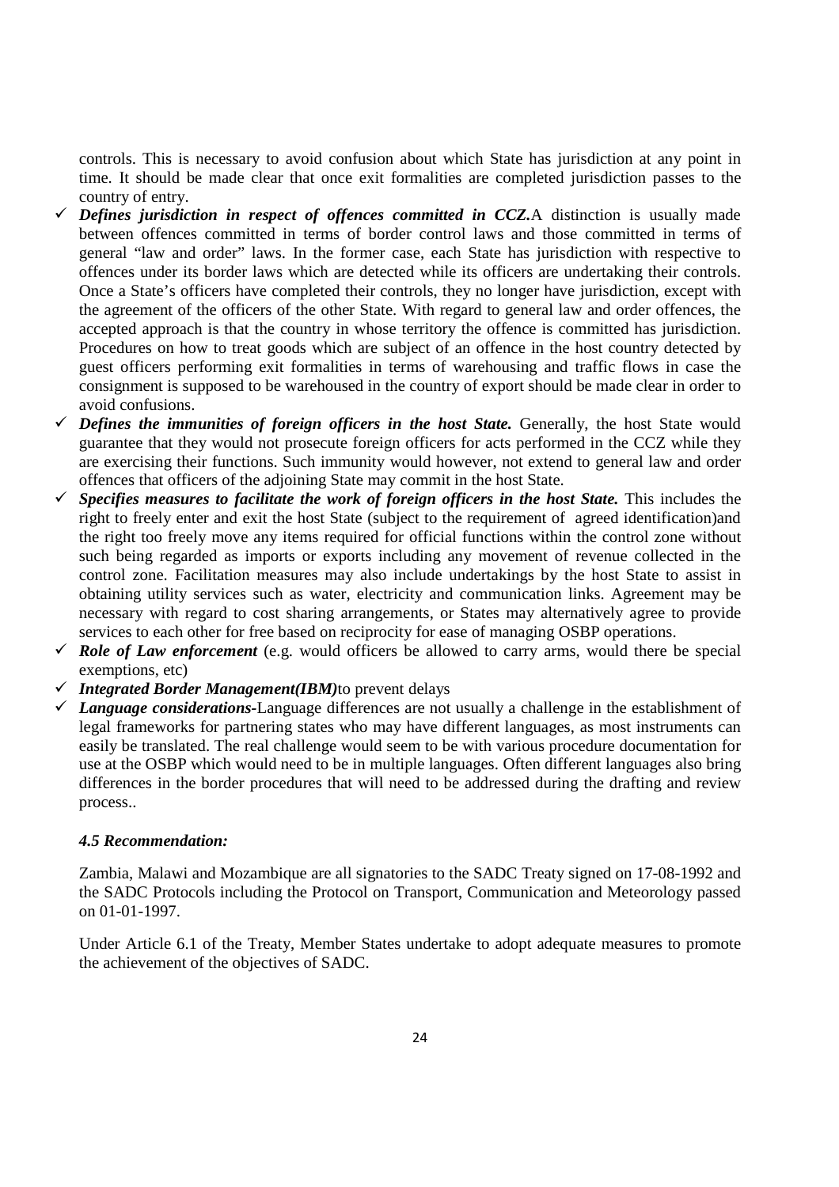controls. This is necessary to avoid confusion about which State has jurisdiction at any point in time. It should be made clear that once exit formalities are completed jurisdiction passes to the country of entry.

- $\checkmark$  Defines jurisdiction in respect of offences committed in CCZ.A distinction is usually made between offences committed in terms of border control laws and those committed in terms of general "law and order" laws. In the former case, each State has jurisdiction with respective to offences under its border laws which are detected while its officers are undertaking their controls. Once a State's officers have completed their controls, they no longer have jurisdiction, except with the agreement of the officers of the other State. With regard to general law and order offences, the accepted approach is that the country in whose territory the offence is committed has jurisdiction. Procedures on how to treat goods which are subject of an offence in the host country detected by guest officers performing exit formalities in terms of warehousing and traffic flows in case the consignment is supposed to be warehoused in the country of export should be made clear in order to avoid confusions.
- $\checkmark$  Defines the immunities of foreign officers in the host State. Generally, the host State would guarantee that they would not prosecute foreign officers for acts performed in the CCZ while they are exercising their functions. Such immunity would however, not extend to general law and order offences that officers of the adjoining State may commit in the host State.
- $\checkmark$  Specifies measures to facilitate the work of foreign officers in the host State. This includes the right to freely enter and exit the host State (subject to the requirement of agreed identification)and the right too freely move any items required for official functions within the control zone without such being regarded as imports or exports including any movement of revenue collected in the control zone. Facilitation measures may also include undertakings by the host State to assist in obtaining utility services such as water, electricity and communication links. Agreement may be necessary with regard to cost sharing arrangements, or States may alternatively agree to provide services to each other for free based on reciprocity for ease of managing OSBP operations.
- $\checkmark$  Role of Law enforcement (e.g. would officers be allowed to carry arms, would there be special exemptions, etc)
- *Integrated Border Management(IBM)*to prevent delays
- *Language considerations-*Language differences are not usually a challenge in the establishment of legal frameworks for partnering states who may have different languages, as most instruments can easily be translated. The real challenge would seem to be with various procedure documentation for use at the OSBP which would need to be in multiple languages. Often different languages also bring differences in the border procedures that will need to be addressed during the drafting and review process..

#### *4.5 Recommendation:*

Zambia, Malawi and Mozambique are all signatories to the SADC Treaty signed on 17-08-1992 and the SADC Protocols including the Protocol on Transport, Communication and Meteorology passed on 01-01-1997.

Under Article 6.1 of the Treaty, Member States undertake to adopt adequate measures to promote the achievement of the objectives of SADC.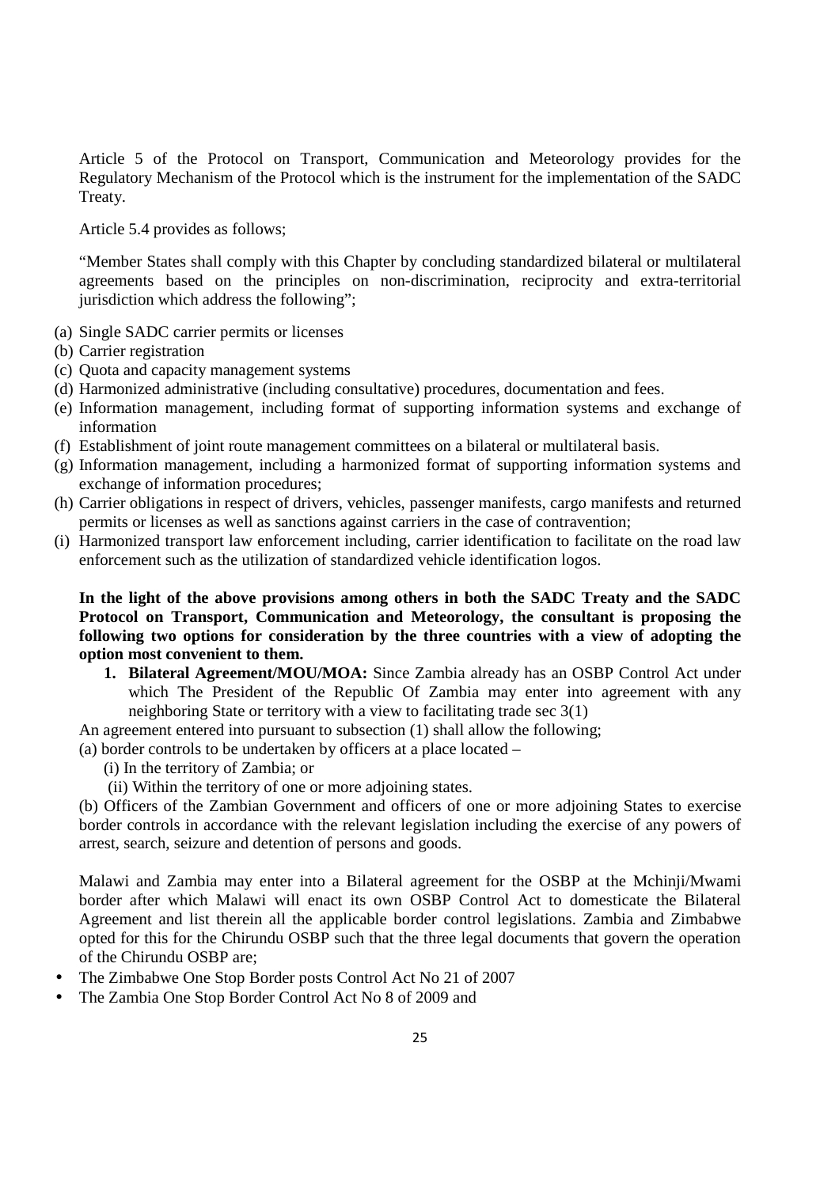Article 5 of the Protocol on Transport, Communication and Meteorology provides for the Regulatory Mechanism of the Protocol which is the instrument for the implementation of the SADC Treaty.

Article 5.4 provides as follows;

"Member States shall comply with this Chapter by concluding standardized bilateral or multilateral agreements based on the principles on non-discrimination, reciprocity and extra-territorial jurisdiction which address the following";

- (a) Single SADC carrier permits or licenses
- (b) Carrier registration
- (c) Quota and capacity management systems
- (d) Harmonized administrative (including consultative) procedures, documentation and fees.
- (e) Information management, including format of supporting information systems and exchange of information
- (f) Establishment of joint route management committees on a bilateral or multilateral basis.
- (g) Information management, including a harmonized format of supporting information systems and exchange of information procedures;
- (h) Carrier obligations in respect of drivers, vehicles, passenger manifests, cargo manifests and returned permits or licenses as well as sanctions against carriers in the case of contravention;
- (i) Harmonized transport law enforcement including, carrier identification to facilitate on the road law enforcement such as the utilization of standardized vehicle identification logos.

**In the light of the above provisions among others in both the SADC Treaty and the SADC Protocol on Transport, Communication and Meteorology, the consultant is proposing the following two options for consideration by the three countries with a view of adopting the option most convenient to them.** 

**1. Bilateral Agreement/MOU/MOA:** Since Zambia already has an OSBP Control Act under which The President of the Republic Of Zambia may enter into agreement with any neighboring State or territory with a view to facilitating trade sec 3(1)

An agreement entered into pursuant to subsection (1) shall allow the following;

(a) border controls to be undertaken by officers at a place located –

- (i) In the territory of Zambia; or
- (ii) Within the territory of one or more adjoining states.

(b) Officers of the Zambian Government and officers of one or more adjoining States to exercise border controls in accordance with the relevant legislation including the exercise of any powers of arrest, search, seizure and detention of persons and goods.

Malawi and Zambia may enter into a Bilateral agreement for the OSBP at the Mchinji/Mwami border after which Malawi will enact its own OSBP Control Act to domesticate the Bilateral Agreement and list therein all the applicable border control legislations. Zambia and Zimbabwe opted for this for the Chirundu OSBP such that the three legal documents that govern the operation of the Chirundu OSBP are;

- The Zimbabwe One Stop Border posts Control Act No 21 of 2007
- The Zambia One Stop Border Control Act No 8 of 2009 and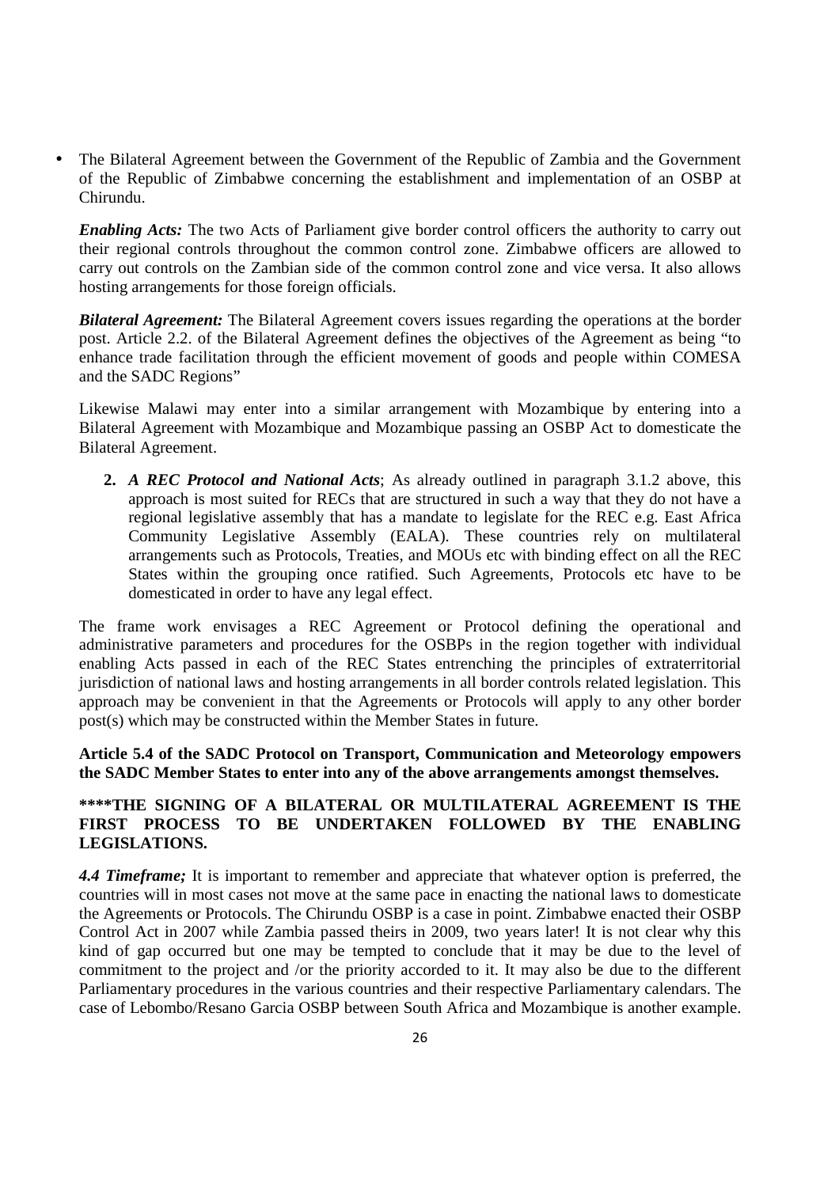• The Bilateral Agreement between the Government of the Republic of Zambia and the Government of the Republic of Zimbabwe concerning the establishment and implementation of an OSBP at Chirundu.

*Enabling Acts:* The two Acts of Parliament give border control officers the authority to carry out their regional controls throughout the common control zone. Zimbabwe officers are allowed to carry out controls on the Zambian side of the common control zone and vice versa. It also allows hosting arrangements for those foreign officials.

*Bilateral Agreement:* The Bilateral Agreement covers issues regarding the operations at the border post. Article 2.2. of the Bilateral Agreement defines the objectives of the Agreement as being "to enhance trade facilitation through the efficient movement of goods and people within COMESA and the SADC Regions"

Likewise Malawi may enter into a similar arrangement with Mozambique by entering into a Bilateral Agreement with Mozambique and Mozambique passing an OSBP Act to domesticate the Bilateral Agreement.

**2.** *A REC Protocol and National Acts*; As already outlined in paragraph 3.1.2 above, this approach is most suited for RECs that are structured in such a way that they do not have a regional legislative assembly that has a mandate to legislate for the REC e.g. East Africa Community Legislative Assembly (EALA). These countries rely on multilateral arrangements such as Protocols, Treaties, and MOUs etc with binding effect on all the REC States within the grouping once ratified. Such Agreements, Protocols etc have to be domesticated in order to have any legal effect.

The frame work envisages a REC Agreement or Protocol defining the operational and administrative parameters and procedures for the OSBPs in the region together with individual enabling Acts passed in each of the REC States entrenching the principles of extraterritorial jurisdiction of national laws and hosting arrangements in all border controls related legislation. This approach may be convenient in that the Agreements or Protocols will apply to any other border post(s) which may be constructed within the Member States in future.

**Article 5.4 of the SADC Protocol on Transport, Communication and Meteorology empowers the SADC Member States to enter into any of the above arrangements amongst themselves.** 

## **\*\*\*\*THE SIGNING OF A BILATERAL OR MULTILATERAL AGREEMENT IS THE FIRST PROCESS TO BE UNDERTAKEN FOLLOWED BY THE ENABLING LEGISLATIONS.**

*4.4 Timeframe;* It is important to remember and appreciate that whatever option is preferred, the countries will in most cases not move at the same pace in enacting the national laws to domesticate the Agreements or Protocols. The Chirundu OSBP is a case in point. Zimbabwe enacted their OSBP Control Act in 2007 while Zambia passed theirs in 2009, two years later! It is not clear why this kind of gap occurred but one may be tempted to conclude that it may be due to the level of commitment to the project and /or the priority accorded to it. It may also be due to the different Parliamentary procedures in the various countries and their respective Parliamentary calendars. The case of Lebombo/Resano Garcia OSBP between South Africa and Mozambique is another example.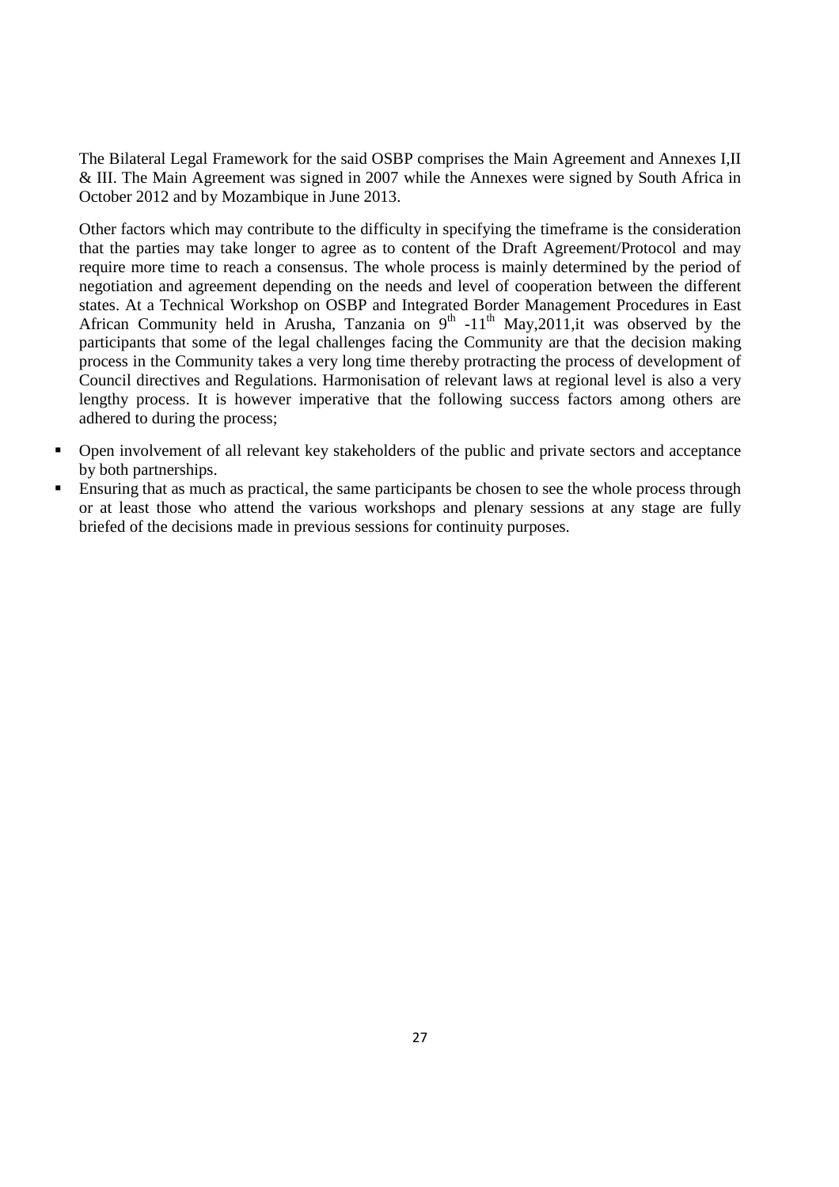The Bilateral Legal Framework for the said OSBP comprises the Main Agreement and Annexes I,II & III. The Main Agreement was signed in 2007 while the Annexes were signed by South Africa in October 2012 and by Mozambique in June 2013.

Other factors which may contribute to the difficulty in specifying the timeframe is the consideration that the parties may take longer to agree as to content of the Draft Agreement/Protocol and may require more time to reach a consensus. The whole process is mainly determined by the period of negotiation and agreement depending on the needs and level of cooperation between the different states. At a Technical Workshop on OSBP and Integrated Border Management Procedures in East African Community held in Arusha, Tanzania on  $9^{th}$  -11<sup>th</sup> May, 2011, it was observed by the participants that some of the legal challenges facing the Community are that the decision making process in the Community takes a very long time thereby protracting the process of development of Council directives and Regulations. Harmonisation of relevant laws at regional level is also a very lengthy process. It is however imperative that the following success factors among others are adhered to during the process;

- Open involvement of all relevant key stakeholders of the public and private sectors and acceptance by both partnerships.
- Ensuring that as much as practical, the same participants be chosen to see the whole process through or at least those who attend the various workshops and plenary sessions at any stage are fully briefed of the decisions made in previous sessions for continuity purposes.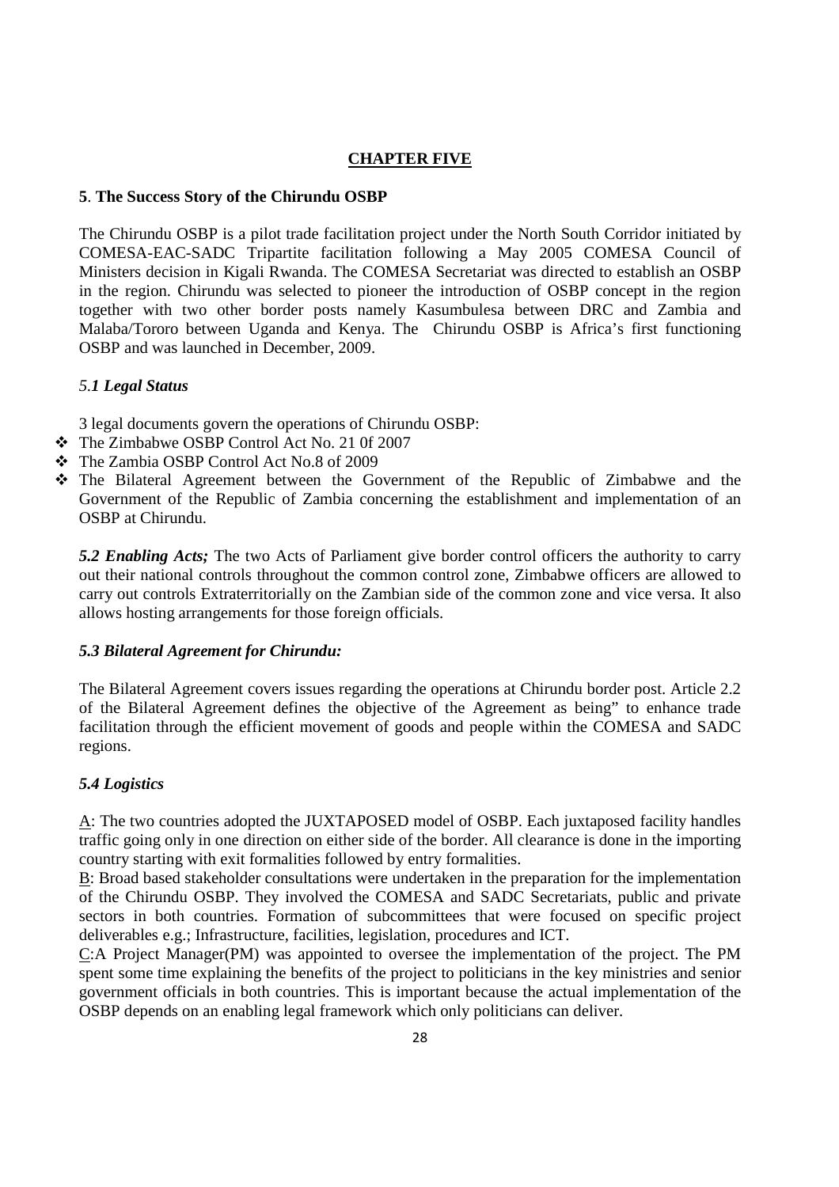## **CHAPTER FIVE**

### **5**. **The Success Story of the Chirundu OSBP**

The Chirundu OSBP is a pilot trade facilitation project under the North South Corridor initiated by COMESA-EAC-SADC Tripartite facilitation following a May 2005 COMESA Council of Ministers decision in Kigali Rwanda. The COMESA Secretariat was directed to establish an OSBP in the region. Chirundu was selected to pioneer the introduction of OSBP concept in the region together with two other border posts namely Kasumbulesa between DRC and Zambia and Malaba/Tororo between Uganda and Kenya. The Chirundu OSBP is Africa's first functioning OSBP and was launched in December, 2009.

### *5.1 Legal Status*

3 legal documents govern the operations of Chirundu OSBP:

- The Zimbabwe OSBP Control Act No. 21 0f 2007
- The Zambia OSBP Control Act No.8 of 2009
- The Bilateral Agreement between the Government of the Republic of Zimbabwe and the Government of the Republic of Zambia concerning the establishment and implementation of an OSBP at Chirundu.

*5.2 Enabling Acts;* The two Acts of Parliament give border control officers the authority to carry out their national controls throughout the common control zone, Zimbabwe officers are allowed to carry out controls Extraterritorially on the Zambian side of the common zone and vice versa. It also allows hosting arrangements for those foreign officials.

#### *5.3 Bilateral Agreement for Chirundu:*

The Bilateral Agreement covers issues regarding the operations at Chirundu border post. Article 2.2 of the Bilateral Agreement defines the objective of the Agreement as being" to enhance trade facilitation through the efficient movement of goods and people within the COMESA and SADC regions.

### *5.4 Logistics*

A: The two countries adopted the JUXTAPOSED model of OSBP. Each juxtaposed facility handles traffic going only in one direction on either side of the border. All clearance is done in the importing country starting with exit formalities followed by entry formalities.

B: Broad based stakeholder consultations were undertaken in the preparation for the implementation of the Chirundu OSBP. They involved the COMESA and SADC Secretariats, public and private sectors in both countries. Formation of subcommittees that were focused on specific project deliverables e.g.; Infrastructure, facilities, legislation, procedures and ICT.

C:A Project Manager(PM) was appointed to oversee the implementation of the project. The PM spent some time explaining the benefits of the project to politicians in the key ministries and senior government officials in both countries. This is important because the actual implementation of the OSBP depends on an enabling legal framework which only politicians can deliver.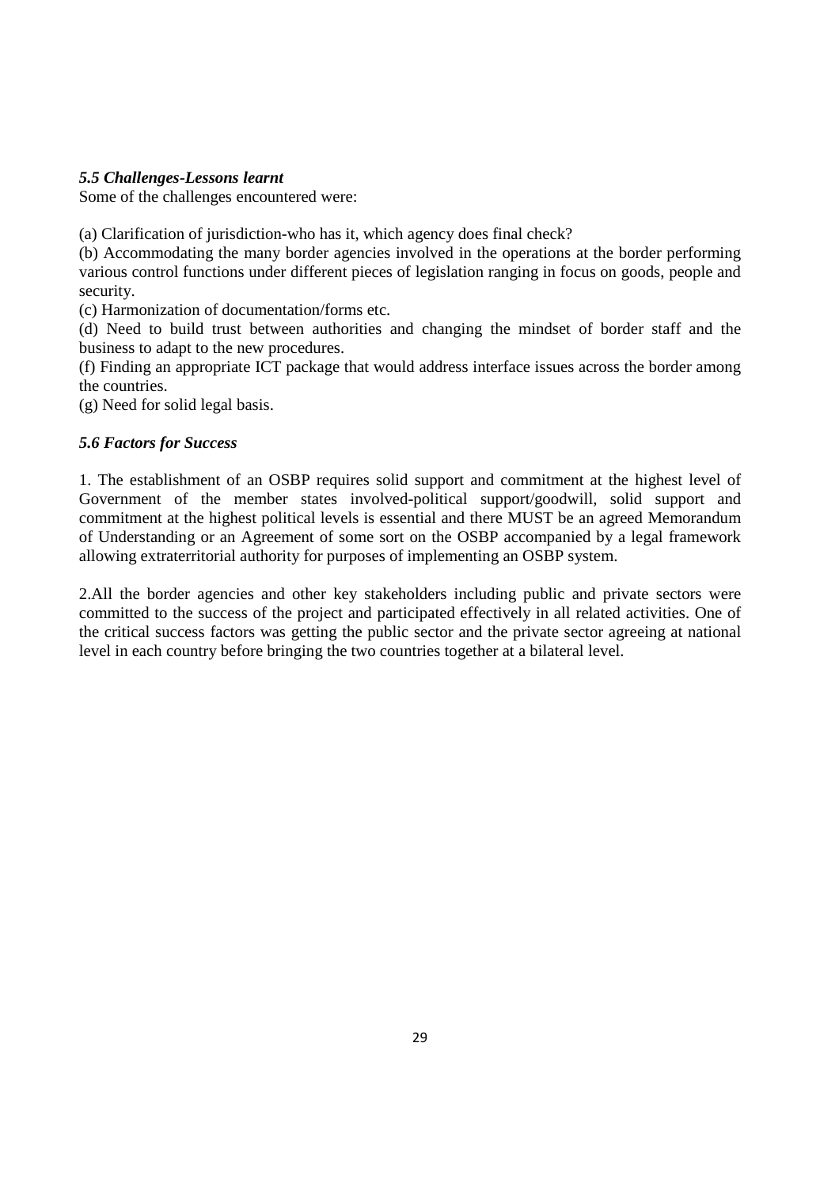### *5.5 Challenges-Lessons learnt*

Some of the challenges encountered were:

(a) Clarification of jurisdiction-who has it, which agency does final check?

(b) Accommodating the many border agencies involved in the operations at the border performing various control functions under different pieces of legislation ranging in focus on goods, people and security.

(c) Harmonization of documentation/forms etc.

(d) Need to build trust between authorities and changing the mindset of border staff and the business to adapt to the new procedures.

(f) Finding an appropriate ICT package that would address interface issues across the border among the countries.

(g) Need for solid legal basis.

### *5.6 Factors for Success*

1. The establishment of an OSBP requires solid support and commitment at the highest level of Government of the member states involved-political support/goodwill, solid support and commitment at the highest political levels is essential and there MUST be an agreed Memorandum of Understanding or an Agreement of some sort on the OSBP accompanied by a legal framework allowing extraterritorial authority for purposes of implementing an OSBP system.

2.All the border agencies and other key stakeholders including public and private sectors were committed to the success of the project and participated effectively in all related activities. One of the critical success factors was getting the public sector and the private sector agreeing at national level in each country before bringing the two countries together at a bilateral level.